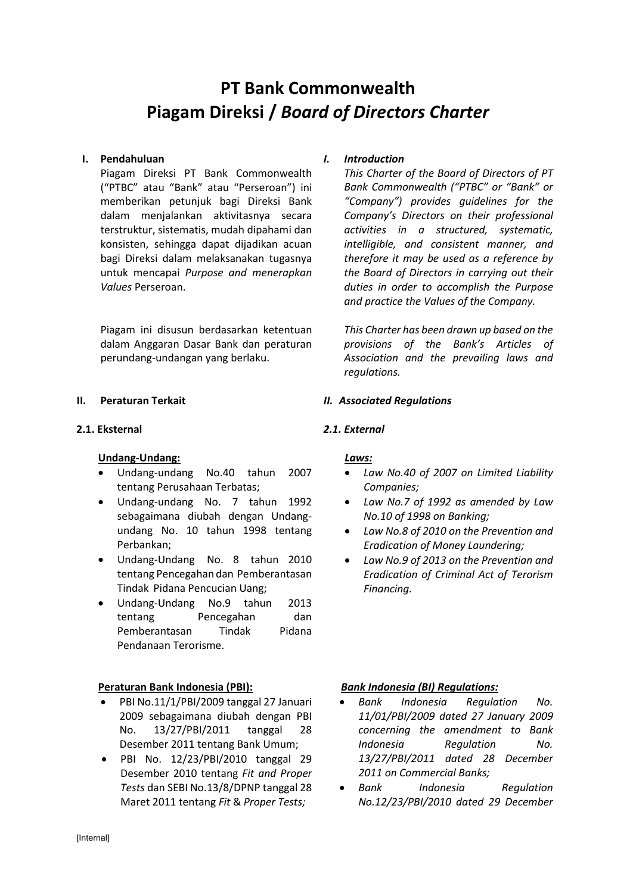# **PT Bank Commonwealth Piagam Direksi /** *Board of Directors Charter*

#### **I. Pendahuluan**

Piagam Direksi PT Bank Commonwealth ("PTBC" atau "Bank" atau "Perseroan") ini memberikan petunjuk bagi Direksi Bank dalam menjalankan aktivitasnya secara terstruktur, sistematis, mudah dipahami dan konsisten, sehingga dapat dijadikan acuan bagi Direksi dalam melaksanakan tugasnya untuk mencapai *Purpose and menerapkan Values* Perseroan.

Piagam ini disusun berdasarkan ketentuan dalam Anggaran Dasar Bank dan peraturan perundang-undangan yang berlaku.

#### **II. Peraturan Terkait**

#### **2.1. Eksternal**

#### **Undang-Undang:**

- Undang-undang No.40 tahun 2007 tentang Perusahaan Terbatas;
- Undang-undang No. 7 tahun 1992 sebagaimana diubah dengan Undangundang No. 10 tahun 1998 tentang Perbankan;
- Undang-Undang No. 8 tahun 2010 tentang Pencegahan dan Pemberantasan Tindak Pidana Pencucian Uang;
- Undang-Undang No.9 tahun 2013 tentang Pencegahan dan Pemberantasan Tindak Pidana Pendanaan Terorisme.

# **Peraturan Bank Indonesia (PBI):**

- PBI No.11/1/PBI/2009 tanggal 27 Januari 2009 sebagaimana diubah dengan PBI No. 13/27/PBI/2011 tanggal 28 Desember 2011 tentang Bank Umum;
- PBI No. 12/23/PBI/2010 tanggal 29 Desember 2010 tentang *Fit and Proper Tests* dan SEBI No.13/8/DPNP tanggal 28 Maret 2011 tentang *Fit* & *Proper Tests;*

# *I. Introduction*

*This Charter of the Board of Directors of PT Bank Commonwealth ("PTBC" or "Bank" or "Company") provides guidelines for the Company's Directors on their professional activities in a structured, systematic, intelligible, and consistent manner, and therefore it may be used as a reference by the Board of Directors in carrying out their duties in order to accomplish the Purpose and practice the Values of the Company.*

*This Charter has been drawn up based on the provisions of the Bank's Articles of Association and the prevailing laws and regulations.*

#### *II. Associated Regulations*

#### *2.1. External*

#### *Laws:*

- *Law No.40 of 2007 on Limited Liability Companies;*
- *Law No.7 of 1992 as amended by Law No.10 of 1998 on Banking;*
- *Law No.8 of 2010 on the Prevention and Eradication of Money Laundering;*
- *Law No.9 of 2013 on the Preventian and Eradication of Criminal Act of Terorism Financing.*

#### *Bank Indonesia (BI) Regulations:*

- *Bank Indonesia Regulation No. 11/01/PBI/2009 dated 27 January 2009 concerning the amendment to Bank Indonesia Regulation No. 13/27/PBI/2011 dated 28 December 2011 on Commercial Banks;*
- *Bank Indonesia Regulation No.12/23/PBI/2010 dated 29 December*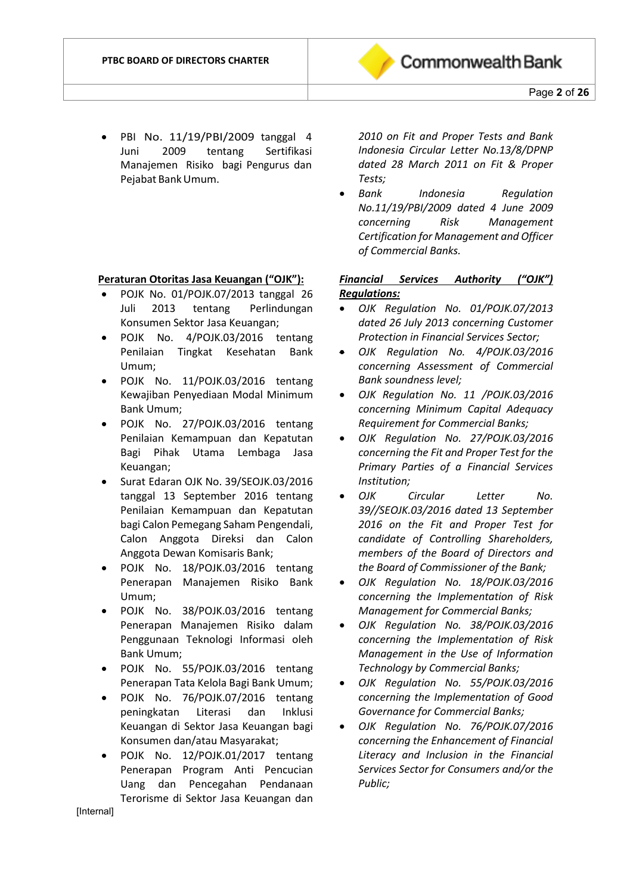

• PBI No. 11/19/PBI/2009 tanggal 4 Juni 2009 tentang Sertifikasi Manajemen Risiko bagi Pengurus dan Pejabat BankUmum.

#### **Peraturan Otoritas Jasa Keuangan ("OJK"):**

- POJK No. 01/POJK.07/2013 tanggal 26 Juli 2013 tentang Perlindungan Konsumen Sektor Jasa Keuangan;
- POJK No. 4/POJK.03/2016 tentang Penilaian Tingkat Kesehatan Bank Umum;
- POJK No. 11/POJK.03/2016 tentang Kewajiban Penyediaan Modal Minimum Bank Umum;
- POJK No. 27/POJK.03/2016 tentang Penilaian Kemampuan dan Kepatutan Bagi Pihak Utama Lembaga Jasa Keuangan;
- Surat Edaran OJK No. 39/SEOJK.03/2016 tanggal 13 September 2016 tentang Penilaian Kemampuan dan Kepatutan bagi Calon Pemegang Saham Pengendali, Calon Anggota Direksi dan Calon Anggota Dewan Komisaris Bank;
- POJK No. 18/POJK.03/2016 tentang Penerapan Manajemen Risiko Bank Umum;
- POJK No. 38/POJK.03/2016 tentang Penerapan Manajemen Risiko dalam Penggunaan Teknologi Informasi oleh Bank Umum;
- POJK No. 55/POJK.03/2016 tentang Penerapan Tata Kelola Bagi Bank Umum;
- POJK No. 76/POJK.07/2016 tentang peningkatan Literasi dan Inklusi Keuangan di Sektor Jasa Keuangan bagi Konsumen dan/atau Masyarakat;
- POJK No. 12/POJK.01/2017 tentang Penerapan Program Anti Pencucian Uang dan Pencegahan Pendanaan Terorisme di Sektor Jasa Keuangan dan

*2010 on Fit and Proper Tests and Bank Indonesia Circular Letter No.13/8/DPNP dated 28 March 2011 on Fit & Proper Tests;*

• *Bank Indonesia Regulation No.11/19/PBI/2009 dated 4 June 2009 concerning Risk Management Certification for Management and Officer of Commercial Banks.*

# *Financial Services Authority ("OJK") Regulations:*

- *OJK Regulation No. 01/POJK.07/2013 dated 26 July 2013 concerning Customer Protection in Financial Services Sector;*
- *OJK Regulation No. 4/POJK.03/2016 concerning Assessment of Commercial Bank soundness level;*
- *OJK Regulation No. 11 /POJK.03/2016 concerning Minimum Capital Adequacy Requirement for Commercial Banks;*
- *OJK Regulation No. 27/POJK.03/2016 concerning the Fit and Proper Test for the Primary Parties of a Financial Services Institution;*
- *OJK Circular Letter No. 39//SEOJK.03/2016 dated 13 September 2016 on the Fit and Proper Test for candidate of Controlling Shareholders, members of the Board of Directors and the Board of Commissioner of the Bank;*
- *OJK Regulation No. 18/POJK.03/2016 concerning the Implementation of Risk Management for Commercial Banks;*
- *OJK Regulation No. 38/POJK.03/2016 concerning the Implementation of Risk Management in the Use of Information Technology by Commercial Banks;*
- *OJK Regulation No. 55/POJK.03/2016 concerning the Implementation of Good Governance for Commercial Banks;*
- *OJK Regulation No. 76/POJK.07/2016 concerning the Enhancement of Financial Literacy and Inclusion in the Financial Services Sector for Consumers and/or the Public;*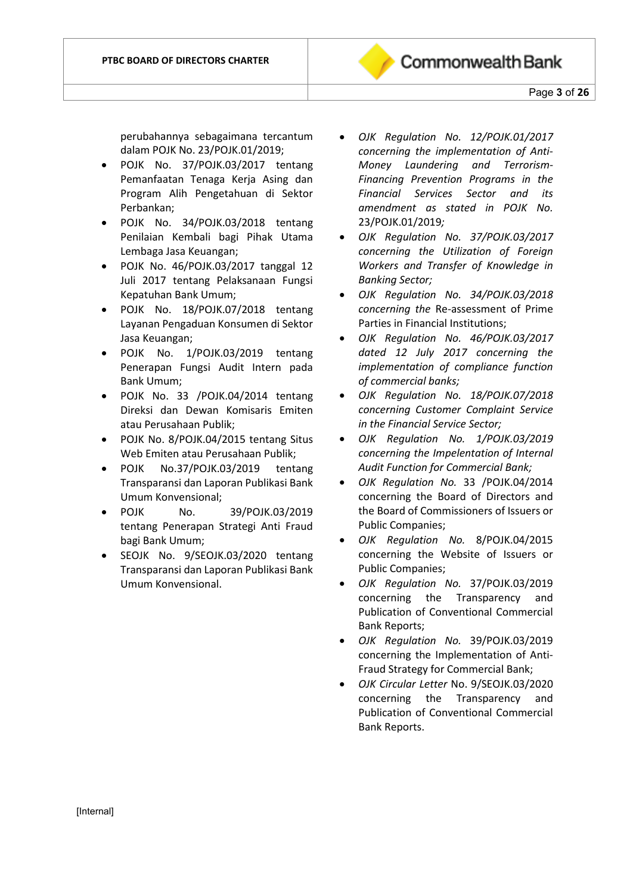perubahannya sebagaimana tercantum dalam POJK No. 23/POJK.01/2019;

- POJK No. 37/POJK.03/2017 tentang Pemanfaatan Tenaga Kerja Asing dan Program Alih Pengetahuan di Sektor Perbankan;
- POJK No. 34/POJK.03/2018 tentang Penilaian Kembali bagi Pihak Utama Lembaga Jasa Keuangan;
- POJK No. 46/POJK.03/2017 tanggal 12 Juli 2017 tentang Pelaksanaan Fungsi Kepatuhan Bank Umum;
- POJK No. 18/POJK.07/2018 tentang Layanan Pengaduan Konsumen di Sektor Jasa Keuangan;
- POJK No. 1/POJK.03/2019 tentang Penerapan Fungsi Audit Intern pada Bank Umum;
- POJK No. 33 /POJK.04/2014 tentang Direksi dan Dewan Komisaris Emiten atau Perusahaan Publik;
- POJK No. 8/POJK.04/2015 tentang Situs Web Emiten atau Perusahaan Publik;
- POJK No.37/POJK.03/2019 tentang Transparansi dan Laporan Publikasi Bank Umum Konvensional;
- POJK No. 39/POJK.03/2019 tentang Penerapan Strategi Anti Fraud bagi Bank Umum;
- SEOJK No. 9/SEOJK.03/2020 tentang Transparansi dan Laporan Publikasi Bank Umum Konvensional.
- *OJK Regulation No. 12/POJK.01/2017 concerning the implementation of Anti-Money Laundering and Terrorism-Financing Prevention Programs in the Financial Services Sector and its amendment as stated in POJK No.*  23/POJK.01/2019*;*
- *OJK Regulation No. 37/POJK.03/2017 concerning the Utilization of Foreign Workers and Transfer of Knowledge in Banking Sector;*
- *OJK Regulation No. 34/POJK.03/2018 concerning the* Re-assessment of Prime Parties in Financial Institutions;
- *OJK Regulation No. 46/POJK.03/2017 dated 12 July 2017 concerning the implementation of compliance function of commercial banks;*
- *OJK Regulation No. 18/POJK.07/2018 concerning Customer Complaint Service in the Financial Service Sector;*
- *OJK Regulation No. 1/POJK.03/2019 concerning the Impelentation of Internal Audit Function for Commercial Bank;*
- *OJK Regulation No.* 33 /POJK.04/2014 concerning the Board of Directors and the Board of Commissioners of Issuers or Public Companies;
- *OJK Regulation No.* 8/POJK.04/2015 concerning the Website of Issuers or Public Companies;
- *OJK Regulation No.* 37/POJK.03/2019 concerning the Transparency and Publication of Conventional Commercial Bank Reports;
- *OJK Regulation No.* 39/POJK.03/2019 concerning the Implementation of Anti-Fraud Strategy for Commercial Bank;
- *OJK Circular Letter* No. 9/SEOJK.03/2020 concerning the Transparency and Publication of Conventional Commercial Bank Reports.

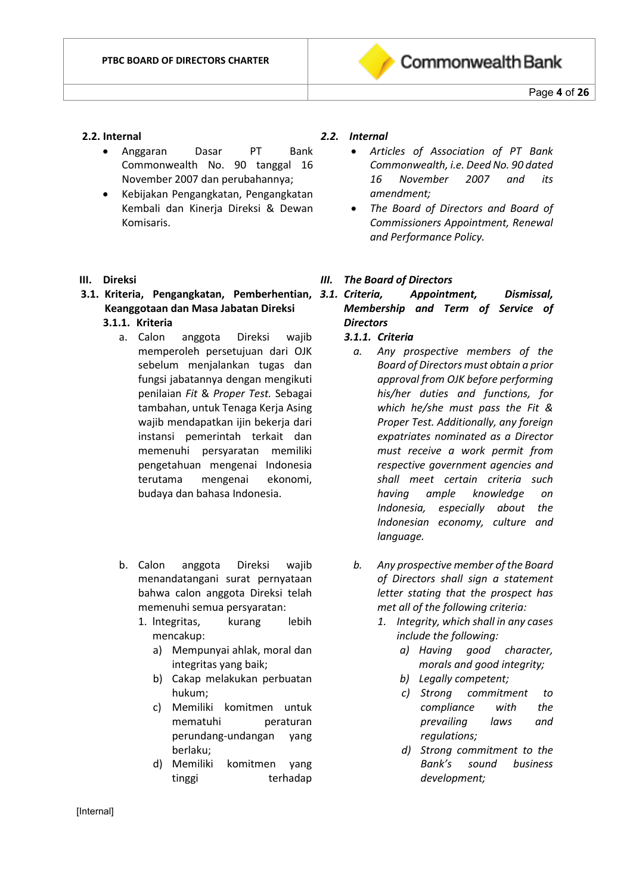

#### **2.2. Internal**

- Anggaran Dasar PT Bank Commonwealth No. 90 tanggal 16 November 2007 dan perubahannya;
- Kebijakan Pengangkatan, Pengangkatan Kembali dan Kinerja Direksi & Dewan Komisaris.

#### **III. Direksi**

# **3.1. Kriteria, Pengangkatan, Pemberhentian, Keanggotaan dan Masa Jabatan Direksi**

# **3.1.1. Kriteria**

- a. Calon anggota Direksi wajib memperoleh persetujuan dari OJK sebelum menjalankan tugas dan fungsi jabatannya dengan mengikuti penilaian *Fit* & *Proper Test.* Sebagai tambahan, untuk Tenaga Kerja Asing wajib mendapatkan ijin bekerja dari instansi pemerintah terkait dan memenuhi persyaratan memiliki pengetahuan mengenai Indonesia terutama mengenai ekonomi, budaya dan bahasa Indonesia.
- b. Calon anggota Direksi wajib menandatangani surat pernyataan bahwa calon anggota Direksi telah memenuhi semua persyaratan:
	- 1. lntegritas, kurang lebih mencakup:
		- a) Mempunyai ahlak, moral dan integritas yang baik;
		- b) Cakap melakukan perbuatan hukum;
		- c) Memiliki komitmen untuk mematuhi peraturan perundang-undangan yang berlaku;
		- d) Memiliki komitmen yang tinggi terhadap

#### *2.2. Internal*

- *Articles of Association of PT Bank Commonwealth, i.e. Deed No. 90 dated 16 November 2007 and its amendment;*
- *The Board of Directors and Board of Commissioners Appointment, Renewal and Performance Policy.*

#### *III. The Board of Directors*

*3.1. Criteria, Appointment, Dismissal, Membership and Term of Service of Directors*

#### *3.1.1. Criteria*

- *a. Any prospective members of the Board of Directors must obtain a prior approval from OJK before performing his/her duties and functions, for which he/she must pass the Fit & Proper Test. Additionally, any foreign expatriates nominated as a Director must receive a work permit from respective government agencies and shall meet certain criteria such having ample knowledge on Indonesia, especially about the Indonesian economy, culture and language.*
- *b. Any prospective member of the Board of Directors shall sign a statement letter stating that the prospect has met all of the following criteria:*
	- *1. Integrity, which shall in any cases include the following:*
		- *a) Having good character, morals and good integrity;*
		- *b) Legally competent;*
		- *c) Strong commitment to compliance with the prevailing laws and regulations;*
		- *d) Strong commitment to the Bank's sound business development;*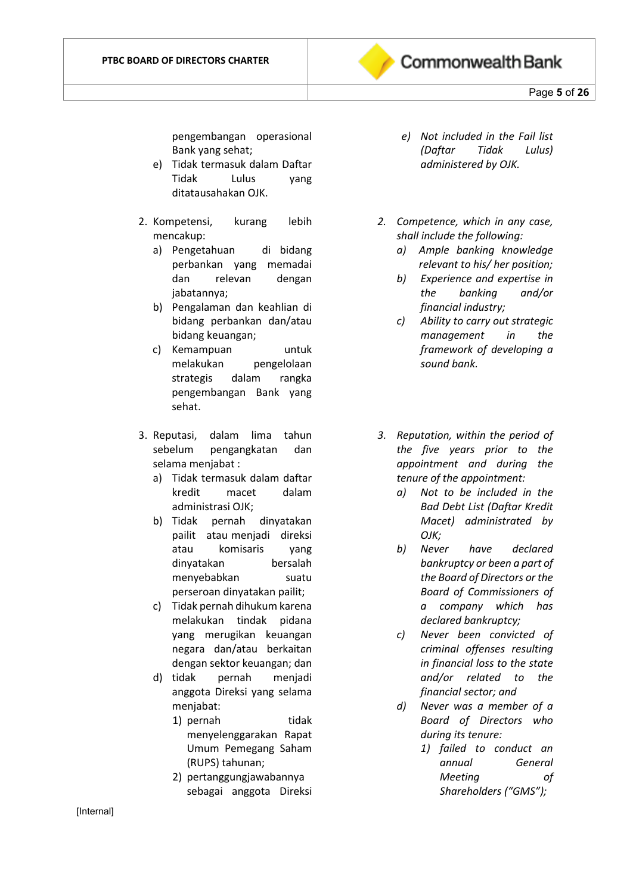

# Page **5** of **26**

pengembangan operasional Bank yang sehat;

- e) Tidak termasuk dalam Daftar Tidak Lulus yang ditatausahakan OJK.
- 2. Kompetensi, kurang lebih mencakup:
	- a) Pengetahuan di bidang perbankan yang memadai dan relevan dengan jabatannya;
	- b) Pengalaman dan keahlian di bidang perbankan dan/atau bidang keuangan;
	- c) Kemampuan untuk melakukan pengelolaan strategis dalam rangka pengembangan Bank yang sehat.
- 3. Reputasi, dalam lima tahun sebelum pengangkatan dan selama menjabat :
	- a) Tidak termasuk dalam daftar kredit macet dalam administrasi OJK;
	- b) Tidak pernah dinyatakan pailit atau menjadi direksi atau komisaris yang dinyatakan bersalah menyebabkan suatu perseroan dinyatakan pailit;
	- c) Tidak pernah dihukum karena melakukan tindak pidana yang merugikan keuangan negara dan/atau berkaitan dengan sektor keuangan; dan
	- d) tidak pernah menjadi anggota Direksi yang selama menjabat:
		- 1) pernah tidak menyelenggarakan Rapat Umum Pemegang Saham (RUPS) tahunan;
		- 2) pertanggungjawabannya sebagai anggota Direksi
- *e) Not included in the Fail list (Daftar Tidak Lulus) administered by OJK.*
- *2. Competence, which in any case, shall include the following:*
	- *a) Ample banking knowledge relevant to his/ her position;*
	- *b) Experience and expertise in the banking and/or financial industry;*
	- *c) Ability to carry out strategic management in the framework of developing a sound bank.*
- *3. Reputation, within the period of the five years prior to the appointment and during the tenure of the appointment:*
	- *a) Not to be included in the Bad Debt List (Daftar Kredit Macet) administrated by OJK;*
	- *b) Never have declared bankruptcy or been a part of the Board of Directors or the Board of Commissioners of a company which has declared bankruptcy;*
	- *c) Never been convicted of criminal offenses resulting in financial loss to the state and/or related to the financial sector; and*
	- *d) Never was a member of a Board of Directors who during its tenure:*
		- *1) failed to conduct an annual General Meeting of Shareholders ("GMS");*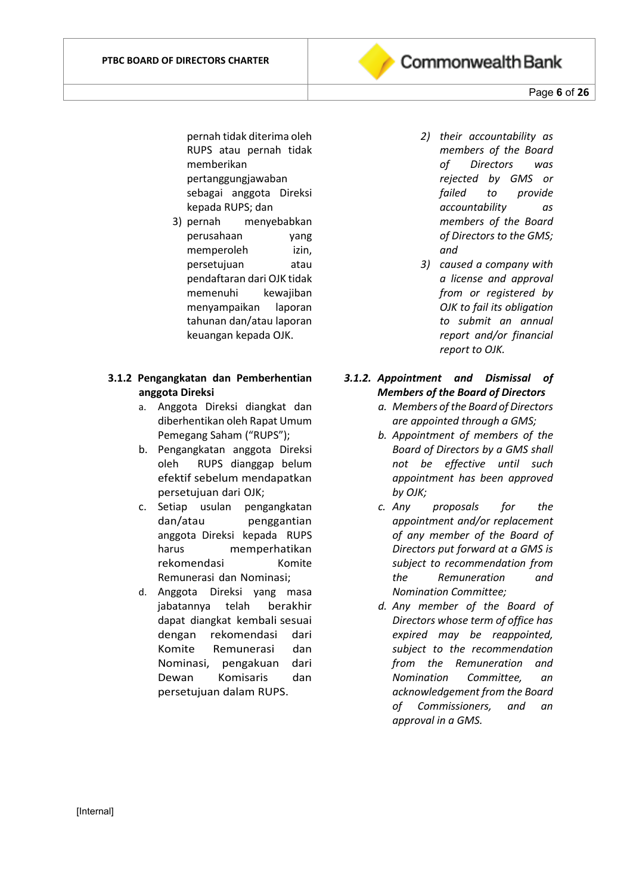

Page **6** of **26**

pernah tidak diterima oleh RUPS atau pernah tidak memberikan pertanggungjawaban sebagai anggota Direksi kepada RUPS; dan

3) pernah menyebabkan perusahaan yang memperoleh izin, persetujuan atau pendaftaran dari OJK tidak memenuhi kewajiban menyampaikan laporan tahunan dan/atau laporan keuangan kepada OJK.

#### **3.1.2 Pengangkatan dan Pemberhentian anggota Direksi**

- a. Anggota Direksi diangkat dan diberhentikan oleh Rapat Umum Pemegang Saham ("RUPS");
- b. Pengangkatan anggota Direksi oleh RUPS dianggap belum efektif sebelum mendapatkan persetujuan dari OJK;
- c. Setiap usulan pengangkatan dan/atau penggantian anggota Direksi kepada RUPS harus memperhatikan rekomendasi Komite Remunerasi dan Nominasi;
- d. Anggota Direksi yang masa jabatannya telah berakhir dapat diangkat kembali sesuai dengan rekomendasi dari Komite Remunerasi dan Nominasi, pengakuan dari Dewan Komisaris dan persetujuan dalam RUPS.
- *2) their accountability as members of the Board of Directors was rejected by GMS or failed to provide accountability as members of the Board of Directors to the GMS; and*
- *3) caused a company with a license and approval from or registered by OJK to fail its obligation to submit an annual report and/or financial report to OJK.*
- *3.1.2. Appointment and Dismissal of Members of the Board of Directors*
	- *a. Members of the Board of Directors are appointed through a GMS;*
	- *b. Appointment of members of the Board of Directors by a GMS shall not be effective until such appointment has been approved by OJK;*
	- *c. Any proposals for the appointment and/or replacement of any member of the Board of Directors put forward at a GMS is subject to recommendation from the Remuneration and Nomination Committee;*
	- *d. Any member of the Board of Directors whose term of office has expired may be reappointed, subject to the recommendation from the Remuneration and Nomination Committee, an acknowledgement from the Board of Commissioners, and an approval in a GMS.*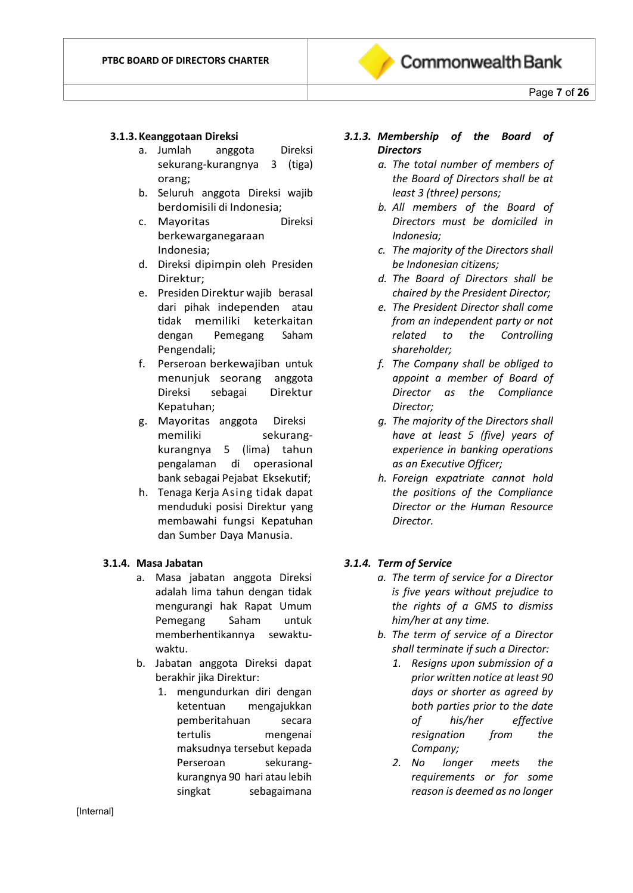

#### **3.1.3.Keanggotaan Direksi**

- a. Jumlah anggota Direksi sekurang-kurangnya 3 (tiga) orang;
- b. Seluruh anggota Direksi wajib berdomisili di Indonesia;
- c. Mayoritas Direksi berkewarganegaraan Indonesia;
- d. Direksi dipimpin oleh Presiden Direktur;
- e. Presiden Direktur wajib berasal dari pihak independen atau tidak memiliki keterkaitan dengan Pemegang Saham Pengendali;
- f. Perseroan berkewajiban untuk menunjuk seorang anggota Direksi sebagai Direktur Kepatuhan;
- g. Mayoritas anggota Direksi memiliki sekurangkurangnya 5 (lima) tahun pengalaman di operasional bank sebagai Pejabat Eksekutif;
- h. Tenaga Kerja Asing tidak dapat menduduki posisi Direktur yang membawahi fungsi Kepatuhan dan Sumber Daya Manusia.

#### **3.1.4. Masa Jabatan**

- a. Masa jabatan anggota Direksi adalah lima tahun dengan tidak mengurangi hak Rapat Umum Pemegang Saham untuk memberhentikannya sewaktuwaktu.
- b. Jabatan anggota Direksi dapat berakhir jika Direktur:
	- 1. mengundurkan diri dengan ketentuan mengajukkan pemberitahuan secara tertulis mengenai maksudnya tersebut kepada Perseroan sekurangkurangnya 90 hari atau lebih singkat sebagaimana

# *3.1.3. Membership of the Board of Directors*

- *a. The total number of members of the Board of Directors shall be at least 3 (three) persons;*
- *b. All members of the Board of Directors must be domiciled in Indonesia;*
- *c. The majority of the Directors shall be Indonesian citizens;*
- *d. The Board of Directors shall be chaired by the President Director;*
- *e. The President Director shall come from an independent party or not related to the Controlling shareholder;*
- *f. The Company shall be obliged to appoint a member of Board of Director as the Compliance Director;*
- *g. The majority of the Directors shall have at least 5 (five) years of experience in banking operations as an Executive Officer;*
- *h. Foreign expatriate cannot hold the positions of the Compliance Director or the Human Resource Director.*

#### *3.1.4. Term of Service*

- *a. The term of service for a Director is five years without prejudice to the rights of a GMS to dismiss him/her at any time.*
- *b. The term of service of a Director shall terminate if such a Director:*
	- *1. Resigns upon submission of a prior written notice at least 90 days or shorter as agreed by both parties prior to the date of his/her effective resignation from the Company;*
	- *2. No longer meets the requirements or for some reason is deemed as no longer*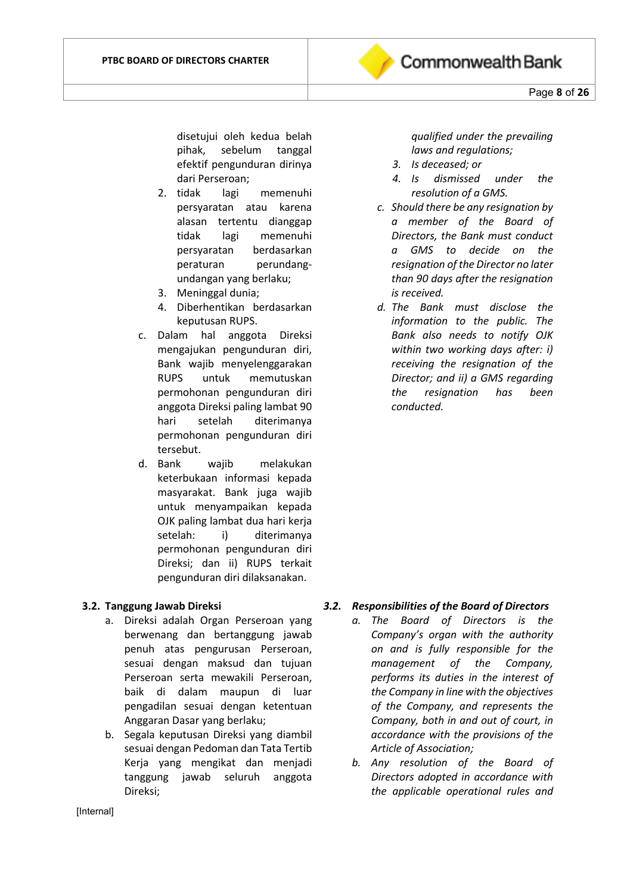

- 2. tidak lagi memenuhi persyaratan atau karena alasan tertentu dianggap tidak lagi memenuhi persyaratan berdasarkan peraturan perundangundangan yang berlaku;
- 3. Meninggal dunia;
- 4. Diberhentikan berdasarkan keputusan RUPS.
- c. Dalam hal anggota Direksi mengajukan pengunduran diri, Bank wajib menyelenggarakan RUPS untuk memutuskan permohonan pengunduran diri anggota Direksi paling lambat 90 hari setelah diterimanya permohonan pengunduran diri tersebut.
- d. Bank wajib melakukan keterbukaan informasi kepada masyarakat. Bank juga wajib untuk menyampaikan kepada OJK paling lambat dua hari kerja setelah: i) diterimanya permohonan pengunduran diri Direksi; dan ii) RUPS terkait pengunduran diri dilaksanakan.

#### **3.2. Tanggung Jawab Direksi**

- a. Direksi adalah Organ Perseroan yang berwenang dan bertanggung jawab penuh atas pengurusan Perseroan, sesuai dengan maksud dan tujuan Perseroan serta mewakili Perseroan, baik di dalam maupun di luar pengadilan sesuai dengan ketentuan Anggaran Dasar yang berlaku;
- b. Segala keputusan Direksi yang diambil sesuai dengan Pedoman dan Tata Tertib Kerja yang mengikat dan menjadi tanggung jawab seluruh anggota Direksi;

*qualified under the prevailing laws and regulations;*

- *3. Is deceased; or*
- *4. Is dismissed under the resolution of a GMS.*
- *c. Should there be any resignation by a member of the Board of Directors, the Bank must conduct a GMS to decide on the resignation of the Director no later than 90 days after the resignation is received.*
- *d. The Bank must disclose the information to the public. The Bank also needs to notify OJK within two working days after: i) receiving the resignation of the Director; and ii) a GMS regarding the resignation has been conducted.*

#### *3.2. Responsibilities of the Board of Directors*

- *a. The Board of Directors is the Company's organ with the authority on and is fully responsible for the management of the Company, performs its duties in the interest of the Company in line with the objectives of the Company, and represents the Company, both in and out of court, in accordance with the provisions of the Article of Association;*
- *b. Any resolution of the Board of Directors adopted in accordance with the applicable operational rules and*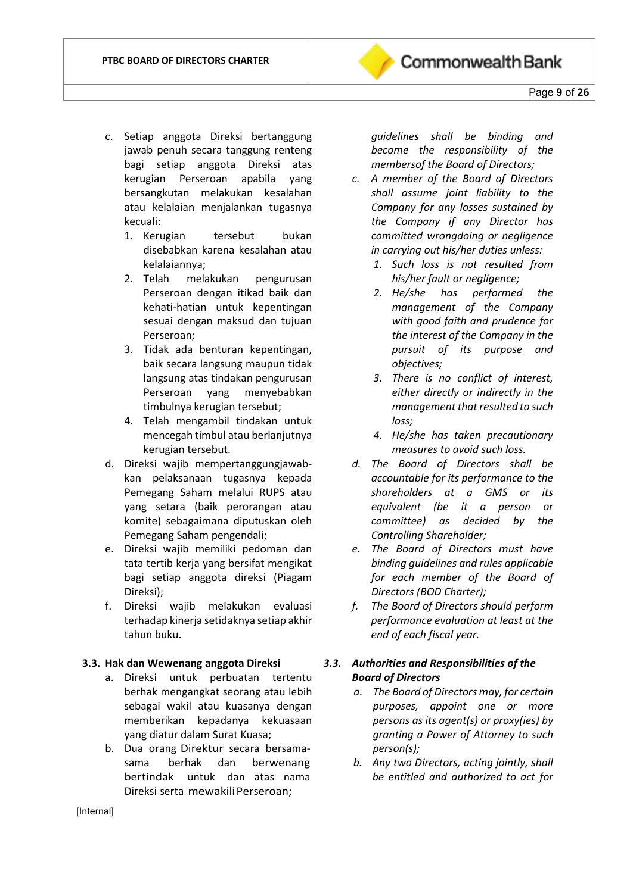- c. Setiap anggota Direksi bertanggung jawab penuh secara tanggung renteng bagi setiap anggota Direksi atas kerugian Perseroan apabila yang bersangkutan melakukan kesalahan atau kelalaian menjalankan tugasnya kecuali:
	- 1. Kerugian tersebut bukan disebabkan karena kesalahan atau kelalaiannya;
	- 2. Telah melakukan pengurusan Perseroan dengan itikad baik dan kehati-hatian untuk kepentingan sesuai dengan maksud dan tujuan Perseroan;
	- 3. Tidak ada benturan kepentingan, baik secara langsung maupun tidak langsung atas tindakan pengurusan Perseroan yang menyebabkan timbulnya kerugian tersebut;
	- 4. Telah mengambil tindakan untuk mencegah timbul atau berlanjutnya kerugian tersebut.
- d. Direksi wajib mempertanggungjawabkan pelaksanaan tugasnya kepada Pemegang Saham melalui RUPS atau yang setara (baik perorangan atau komite) sebagaimana diputuskan oleh Pemegang Saham pengendali;
- e. Direksi wajib memiliki pedoman dan tata tertib kerja yang bersifat mengikat bagi setiap anggota direksi (Piagam Direksi);
- f. Direksi wajib melakukan evaluasi terhadap kinerja setidaknya setiap akhir tahun buku.

#### **3.3. Hak dan Wewenang anggota Direksi**

- a. Direksi untuk perbuatan tertentu berhak mengangkat seorang atau lebih sebagai wakil atau kuasanya dengan memberikan kepadanya kekuasaan yang diatur dalam Surat Kuasa;
- b. Dua orang Direktur secara bersamasama berhak dan berwenang bertindak untuk dan atas nama Direksi serta mewakili Perseroan;

*guidelines shall be binding and become the responsibility of the membersof the Board of Directors;*

- *c. A member of the Board of Directors shall assume joint liability to the Company for any losses sustained by the Company if any Director has committed wrongdoing or negligence in carrying out his/her duties unless:*
	- *1. Such loss is not resulted from his/her fault or negligence;*
	- *2. He/she has performed the management of the Company with good faith and prudence for the interest of the Company in the pursuit of its purpose and objectives;*
	- *3. There is no conflict of interest, either directly or indirectly in the management that resulted to such loss;*
	- *4. He/she has taken precautionary measures to avoid such loss.*
- *d. The Board of Directors shall be accountable for its performance to the shareholders at a GMS or its equivalent (be it a person or committee) as decided by the Controlling Shareholder;*
- *e. The Board of Directors must have binding guidelines and rules applicable for each member of the Board of Directors (BOD Charter);*
- *f. The Board of Directors should perform performance evaluation at least at the end of each fiscal year.*

# *3.3. Authorities and Responsibilities of the Board of Directors*

- *a. The Board of Directors may, for certain purposes, appoint one or more persons as its agent(s) or proxy(ies) by granting a Power of Attorney to such person(s);*
- *b. Any two Directors, acting jointly, shall be entitled and authorized to act for*

[Internal]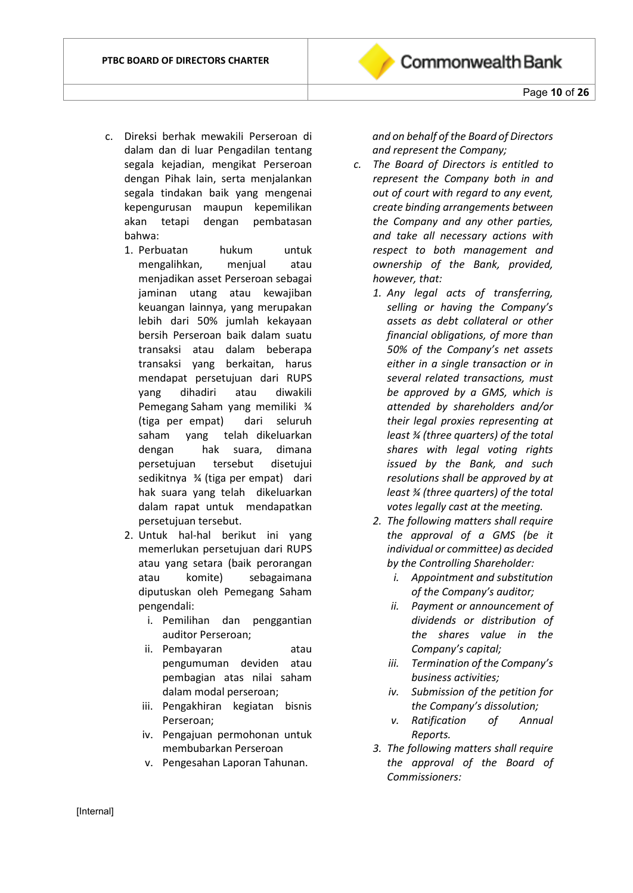- c. Direksi berhak mewakili Perseroan di dalam dan di luar Pengadilan tentang segala kejadian, mengikat Perseroan dengan Pihak lain, serta menjalankan segala tindakan baik yang mengenai kepengurusan maupun kepemilikan akan tetapi dengan pembatasan bahwa:
	- 1. Perbuatan hukum untuk mengalihkan, menjual atau menjadikan asset Perseroan sebagai jaminan utang atau kewajiban keuangan lainnya, yang merupakan lebih dari 50% jumlah kekayaan bersih Perseroan baik dalam suatu transaksi atau dalam beberapa transaksi yang berkaitan, harus mendapat persetujuan dari RUPS yang dihadiri atau diwakili Pemegang Saham yang memiliki ¾ (tiga per empat) dari seluruh saham yang telah dikeluarkan dengan hak suara, dimana persetujuan tersebut disetujui sedikitnya ¾ (tiga per empat) dari hak suara yang telah dikeluarkan dalam rapat untuk mendapatkan persetujuan tersebut.
	- 2. Untuk hal-hal berikut ini yang memerlukan persetujuan dari RUPS atau yang setara (baik perorangan atau komite) sebagaimana diputuskan oleh Pemegang Saham pengendali:
		- i. Pemilihan dan penggantian auditor Perseroan;
		- ii. Pembayaran atau pengumuman deviden atau pembagian atas nilai saham dalam modal perseroan;
		- iii. Pengakhiran kegiatan bisnis Perseroan;
		- iv. Pengajuan permohonan untuk membubarkan Perseroan
		- v. Pengesahan Laporan Tahunan.

*and on behalf of the Board of Directors and represent the Company;*

**Commonwealth Bank** 

- *c. The Board of Directors is entitled to represent the Company both in and out of court with regard to any event, create binding arrangements between the Company and any other parties, and take all necessary actions with respect to both management and ownership of the Bank, provided, however, that:* 
	- *1. Any legal acts of transferring, selling or having the Company's assets as debt collateral or other financial obligations, of more than 50% of the Company's net assets either in a single transaction or in several related transactions, must be approved by a GMS, which is attended by shareholders and/or their legal proxies representing at least ¾ (three quarters) of the total shares with legal voting rights issued by the Bank, and such resolutions shall be approved by at least ¾ (three quarters) of the total votes legally cast at the meeting.*
	- *2. The following matters shall require the approval of a GMS (be it individual or committee) as decided by the Controlling Shareholder:*
		- *i. Appointment and substitution of the Company's auditor;*
		- *ii. Payment or announcement of dividends or distribution of the shares value in the Company's capital;*
		- *iii. Termination of the Company's business activities;*
		- *iv. Submission of the petition for the Company's dissolution;*
		- *v. Ratification of Annual Reports.*
	- *3. The following matters shall require the approval of the Board of Commissioners:*

[Internal]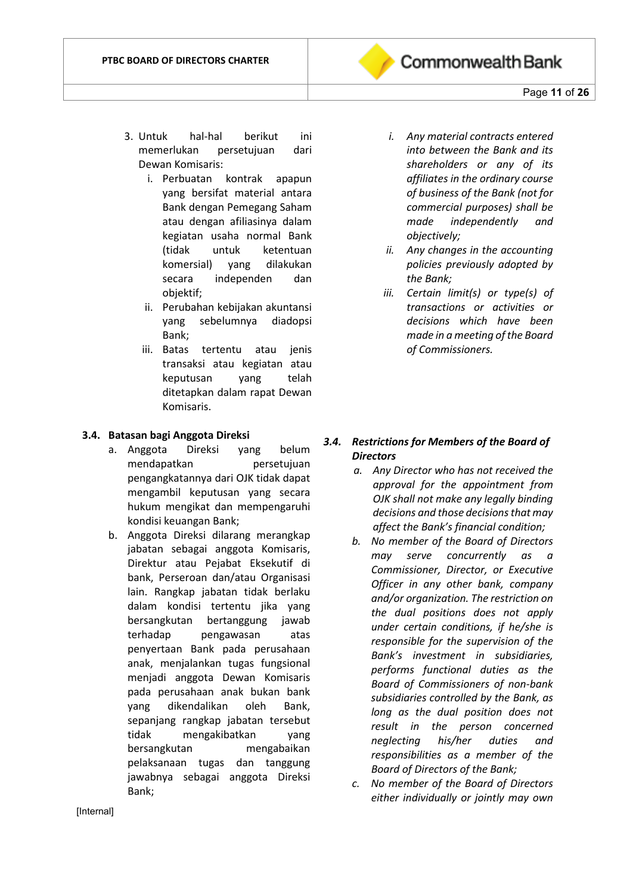

- 3. Untuk hal-hal berikut ini memerlukan persetujuan dari Dewan Komisaris:
	- i. Perbuatan kontrak apapun yang bersifat material antara Bank dengan Pemegang Saham atau dengan afiliasinya dalam kegiatan usaha normal Bank (tidak untuk ketentuan komersial) yang dilakukan secara independen dan objektif;
	- ii. Perubahan kebijakan akuntansi yang sebelumnya diadopsi Bank;
	- iii. Batas tertentu atau jenis transaksi atau kegiatan atau keputusan yang telah ditetapkan dalam rapat Dewan Komisaris.

#### **3.4. Batasan bagi Anggota Direksi**

- a. Anggota Direksi yang belum mendapatkan persetujuan pengangkatannya dari OJK tidak dapat mengambil keputusan yang secara hukum mengikat dan mempengaruhi kondisi keuangan Bank;
- b. Anggota Direksi dilarang merangkap jabatan sebagai anggota Komisaris, Direktur atau Pejabat Eksekutif di bank, Perseroan dan/atau Organisasi lain. Rangkap jabatan tidak berlaku dalam kondisi tertentu jika yang bersangkutan bertanggung jawab terhadap pengawasan atas penyertaan Bank pada perusahaan anak, menjalankan tugas fungsional menjadi anggota Dewan Komisaris pada perusahaan anak bukan bank yang dikendalikan oleh Bank, sepanjang rangkap jabatan tersebut tidak mengakibatkan yang bersangkutan mengabaikan pelaksanaan tugas dan tanggung jawabnya sebagai anggota Direksi Bank;
- *i. Any material contracts entered into between the Bank and its shareholders or any of its affiliates in the ordinary course of business of the Bank (not for commercial purposes) shall be made independently and objectively;*
- *ii. Any changes in the accounting policies previously adopted by the Bank;*
- *iii. Certain limit(s) or type(s) of transactions or activities or decisions which have been made in a meeting of the Board of Commissioners.*

#### *3.4. Restrictions for Members of the Board of Directors*

- *a. Any Director who has not received the approval for the appointment from OJK shall not make any legally binding decisions and those decisionsthat may affect the Bank's financial condition;*
- *b. No member of the Board of Directors may serve concurrently as a Commissioner, Director, or Executive Officer in any other bank, company and/or organization. The restriction on the dual positions does not apply under certain conditions, if he/she is responsible for the supervision of the Bank's investment in subsidiaries, performs functional duties as the Board of Commissioners of non-bank subsidiaries controlled by the Bank, as long as the dual position does not result in the person concerned neglecting his/her duties and responsibilities as a member of the Board of Directors of the Bank;*
- *c. No member of the Board of Directors either individually or jointly may own*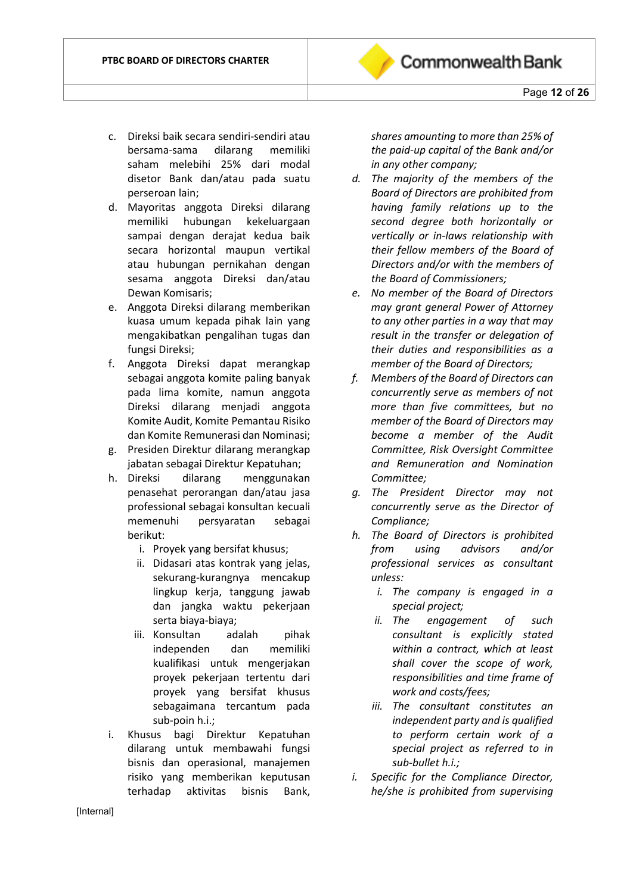- c. Direksi baik secara sendiri-sendiri atau bersama-sama dilarang memiliki saham melebihi 25% dari modal disetor Bank dan/atau pada suatu perseroan lain;
- d. Mayoritas anggota Direksi dilarang memiliki hubungan kekeluargaan sampai dengan derajat kedua baik secara horizontal maupun vertikal atau hubungan pernikahan dengan sesama anggota Direksi dan/atau Dewan Komisaris;
- e. Anggota Direksi dilarang memberikan kuasa umum kepada pihak lain yang mengakibatkan pengalihan tugas dan fungsi Direksi;
- f. Anggota Direksi dapat merangkap sebagai anggota komite paling banyak pada lima komite, namun anggota Direksi dilarang menjadi anggota Komite Audit, Komite Pemantau Risiko dan Komite Remunerasi dan Nominasi;
- g. Presiden Direktur dilarang merangkap jabatan sebagai Direktur Kepatuhan;
- h. Direksi dilarang menggunakan penasehat perorangan dan/atau jasa professional sebagai konsultan kecuali memenuhi persyaratan sebagai berikut:
	- i. Proyek yang bersifat khusus;
	- ii. Didasari atas kontrak yang jelas, sekurang-kurangnya mencakup lingkup kerja, tanggung jawab dan jangka waktu pekerjaan serta biaya-biaya;
	- iii. Konsultan adalah pihak independen dan memiliki kualifikasi untuk mengerjakan proyek pekerjaan tertentu dari proyek yang bersifat khusus sebagaimana tercantum pada sub-poin h.i.;
- i. Khusus bagi Direktur Kepatuhan dilarang untuk membawahi fungsi bisnis dan operasional, manajemen risiko yang memberikan keputusan terhadap aktivitas bisnis Bank,

*shares amounting to more than 25% of the paid-up capital of the Bank and/or in any other company;*

- *d. The majority of the members of the Board of Directors are prohibited from having family relations up to the second degree both horizontally or vertically or in-laws relationship with their fellow members of the Board of Directors and/or with the members of the Board of Commissioners;*
- *e. No member of the Board of Directors may grant general Power of Attorney to any other parties in a way that may result in the transfer or delegation of their duties and responsibilities as a member of the Board of Directors;*
- *f. Members of the Board of Directors can concurrently serve as members of not more than five committees, but no member of the Board of Directors may become a member of the Audit Committee, Risk Oversight Committee and Remuneration and Nomination Committee;*
- *g. The President Director may not concurrently serve as the Director of Compliance;*
- *h. The Board of Directors is prohibited from using advisors and/or professional services as consultant unless:*
	- *i. The company is engaged in a special project;*
	- *ii. The engagement of such consultant is explicitly stated within a contract, which at least shall cover the scope of work, responsibilities and time frame of work and costs/fees;*
	- *iii. The consultant constitutes an independent party and is qualified to perform certain work of a special project as referred to in sub-bullet h.i.;*
- *i. Specific for the Compliance Director, he/she is prohibited from supervising*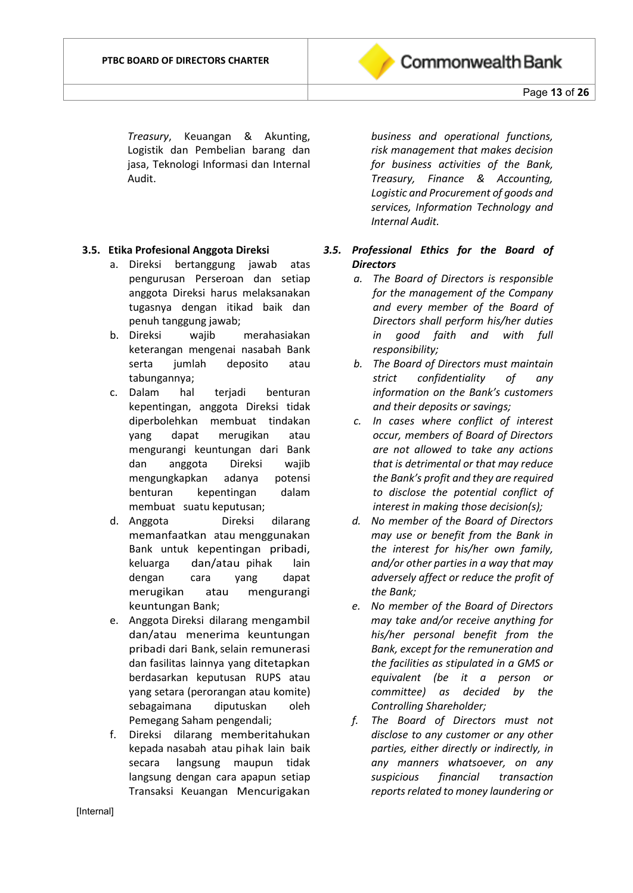

*Treasury*, Keuangan & Akunting, Logistik dan Pembelian barang dan jasa, Teknologi Informasi dan Internal Audit.

#### **3.5. Etika Profesional Anggota Direksi**

- a. Direksi bertanggung jawab atas pengurusan Perseroan dan setiap anggota Direksi harus melaksanakan tugasnya dengan itikad baik dan penuh tanggung jawab;
- b. Direksi wajib merahasiakan keterangan mengenai nasabah Bank serta jumlah deposito atau tabungannya;
- c. Dalam hal terjadi benturan kepentingan, anggota Direksi tidak diperbolehkan membuat tindakan yang dapat merugikan atau mengurangi keuntungan dari Bank dan anggota Direksi wajib mengungkapkan adanya potensi benturan kepentingan dalam membuat suatu keputusan;
- d. Anggota Direksi dilarang memanfaatkan atau menggunakan Bank untuk kepentingan pribadi, keluarga dan/atau pihak lain dengan cara yang dapat merugikan atau mengurangi keuntungan Bank;
- e. Anggota Direksi dilarang mengambil dan/atau menerima keuntungan pribadi dari Bank, selain remunerasi dan fasilitas lainnya yang ditetapkan berdasarkan keputusan RUPS atau yang setara (perorangan atau komite) sebagaimana diputuskan oleh Pemegang Saham pengendali;
- f. Direksi dilarang memberitahukan kepada nasabah atau pihak lain baik secara langsung maupun tidak langsung dengan cara apapun setiap Transaksi Keuangan Mencurigakan

*business and operational functions, risk management that makes decision for business activities of the Bank, Treasury, Finance & Accounting, Logistic and Procurement of goods and services, Information Technology and Internal Audit.*

# *3.5. Professional Ethics for the Board of Directors*

- *a. The Board of Directors is responsible for the management of the Company and every member of the Board of Directors shall perform his/her duties in good faith and with full responsibility;*
- *b. The Board of Directors must maintain strict confidentiality of any information on the Bank's customers and their deposits or savings;*
- *c. In cases where conflict of interest occur, members of Board of Directors are not allowed to take any actions that is detrimental or that may reduce the Bank's profit and they are required to disclose the potential conflict of interest in making those decision(s);*
- *d. No member of the Board of Directors may use or benefit from the Bank in the interest for his/her own family, and/or other parties in a way that may adversely affect or reduce the profit of the Bank;*
- *e. No member of the Board of Directors may take and/or receive anything for his/her personal benefit from the Bank, except for the remuneration and the facilities as stipulated in a GMS or equivalent (be it a person or committee) as decided by the Controlling Shareholder;*
- *f. The Board of Directors must not disclose to any customer or any other parties, either directly or indirectly, in any manners whatsoever, on any suspicious financial transaction reports related to money laundering or*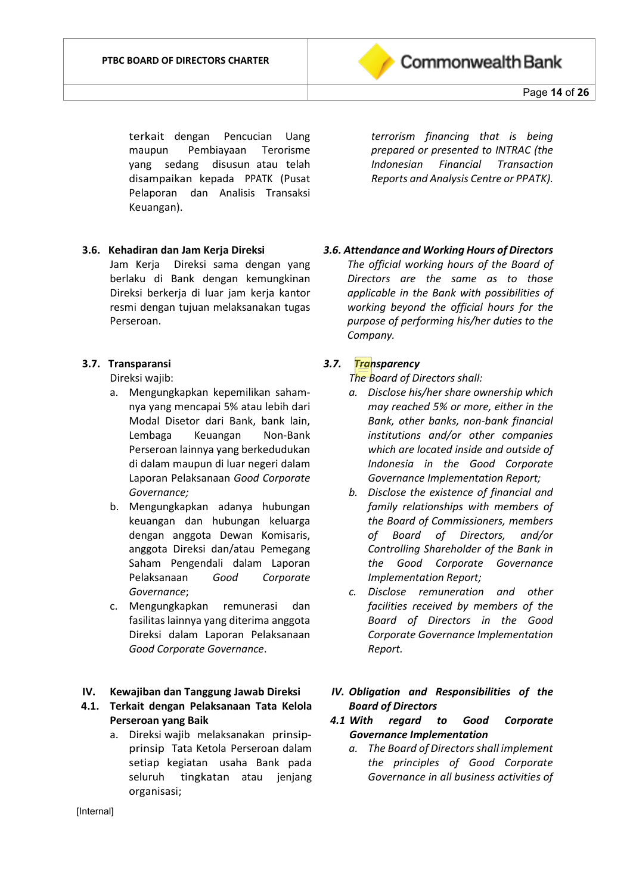

terkait dengan Pencucian Uang maupun Pembiayaan Terorisme yang sedang disusun atau telah disampaikan kepada PPATK (Pusat Pelaporan dan Analisis Transaksi Keuangan).

*terrorism financing that is being prepared or presented to INTRAC (the Indonesian Financial Transaction Reports and Analysis Centre or PPATK).*

#### **3.6. Kehadiran dan Jam Kerja Direksi**

Jam Kerja Direksi sama dengan yang berlaku di Bank dengan kemungkinan Direksi berkerja di luar jam kerja kantor resmi dengan tujuan melaksanakan tugas Perseroan.

#### **3.7. Transparansi**

Direksi wajib:

- a. Mengungkapkan kepemilikan sahamnya yang mencapai 5% atau lebih dari Modal Disetor dari Bank, bank lain, Lembaga Keuangan Non-Bank Perseroan lainnya yang berkedudukan di dalam maupun di luar negeri dalam Laporan Pelaksanaan *Good Corporate Governance;*
- b. Mengungkapkan adanya hubungan keuangan dan hubungan keluarga dengan anggota Dewan Komisaris, anggota Direksi dan/atau Pemegang Saham Pengendali dalam Laporan Pelaksanaan *Good Corporate Governance*;
- c. Mengungkapkan remunerasi dan fasilitas lainnya yang diterima anggota Direksi dalam Laporan Pelaksanaan *Good Corporate Governance*.

#### **IV. Kewajiban dan Tanggung Jawab Direksi**

**4.1. Terkait dengan Pelaksanaan Tata Kelola Perseroan yang Baik**

> a. Direksi wajib melaksanakan prinsipprinsip Tata Ketola Perseroan dalam setiap kegiatan usaha Bank pada seluruh tingkatan atau jenjang organisasi;

*3.6. Attendance and Working Hours of Directors*

*The official working hours of the Board of Directors are the same as to those applicable in the Bank with possibilities of working beyond the official hours for the purpose of performing his/her duties to the Company.*

#### *3.7. Transparency*

*The Board of Directors shall:*

- *a. Disclose his/her share ownership which may reached 5% or more, either in the Bank, other banks, non-bank financial institutions and/or other companies which are located inside and outside of Indonesia in the Good Corporate Governance Implementation Report;*
- *b. Disclose the existence of financial and family relationships with members of the Board of Commissioners, members of Board of Directors, and/or Controlling Shareholder of the Bank in the Good Corporate Governance Implementation Report;*
- *c. Disclose remuneration and other facilities received by members of the Board of Directors in the Good Corporate Governance Implementation Report.*
- *IV. Obligation and Responsibilities of the Board of Directors*
- *4.1 With regard to Good Corporate Governance Implementation*
	- *a. The Board of Directors shall implement the principles of Good Corporate Governance in all business activities of*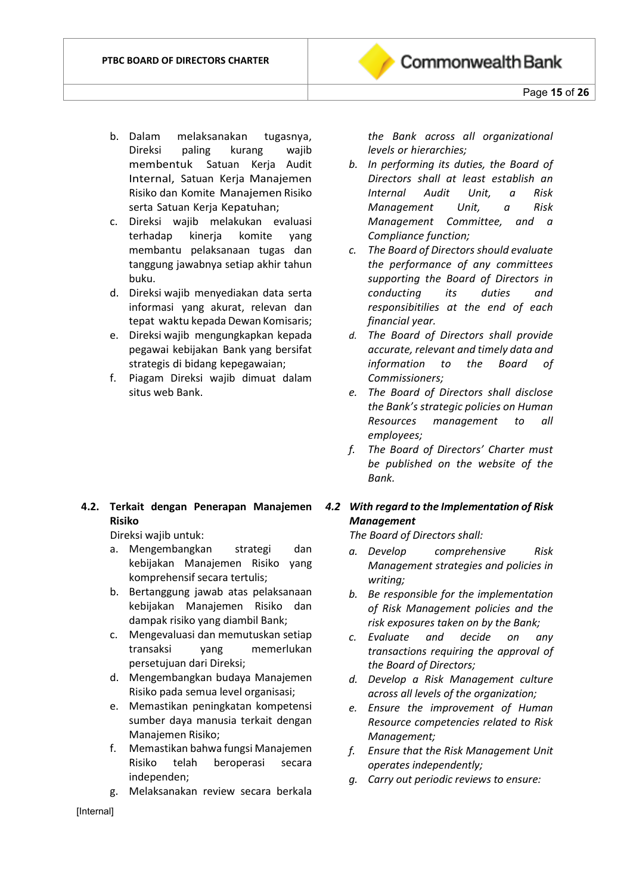

- c. Direksi wajib melakukan evaluasi terhadap kinerja komite yang membantu pelaksanaan tugas dan tanggung jawabnya setiap akhir tahun buku.
- d. Direksi wajib menyediakan data serta informasi yang akurat, relevan dan tepat waktu kepada Dewan Komisaris;
- e. Direksi wajib mengungkapkan kepada pegawai kebijakan Bank yang bersifat strategis di bidang kepegawaian;
- f. Piagam Direksi wajib dimuat dalam situs web Bank.

# **4.2. Terkait dengan Penerapan Manajemen Risiko**

Direksi wajib untuk:

- a. Mengembangkan strategi dan kebijakan Manajemen Risiko yang komprehensif secara tertulis;
- b. Bertanggung jawab atas pelaksanaan kebijakan Manajemen Risiko dan dampak risiko yang diambil Bank;
- c. Mengevaluasi dan memutuskan setiap transaksi yang memerlukan persetujuan dari Direksi;
- d. Mengembangkan budaya Manajemen Risiko pada semua level organisasi;
- e. Memastikan peningkatan kompetensi sumber daya manusia terkait dengan Manajemen Risiko;
- f. Memastikan bahwa fungsi Manajemen Risiko telah beroperasi secara independen;
- g. Melaksanakan review secara berkala

*the Bank across all organizational levels or hierarchies;* 

**Commonwealth Bank** 

- *b. In performing its duties, the Board of Directors shall at least establish an Internal Audit Unit, a Risk Management Unit, a Risk Management Committee, and a Compliance function;*
- *c. The Board of Directors should evaluate the performance of any committees supporting the Board of Directors in conducting its duties and responsibitilies at the end of each financial year.*
- *d. The Board of Directors shall provide accurate, relevant and timely data and information to the Board of Commissioners;*
- *e. The Board of Directors shall disclose the Bank's strategic policies on Human Resources management to all employees;*
- *f. The Board of Directors' Charter must be published on the website of the Bank.*

#### *4.2 With regard to the Implementation of Risk Management*

*The Board of Directors shall:* 

- *a. Develop comprehensive Risk Management strategies and policies in writing;*
- *b. Be responsible for the implementation of Risk Management policies and the risk exposures taken on by the Bank;*
- *c. Evaluate and decide on any transactions requiring the approval of the Board of Directors;*
- *d. Develop a Risk Management culture across all levels of the organization;*
- *e. Ensure the improvement of Human Resource competencies related to Risk Management;*
- *f. Ensure that the Risk Management Unit operates independently;*
- *g. Carry out periodic reviews to ensure:*

[Internal]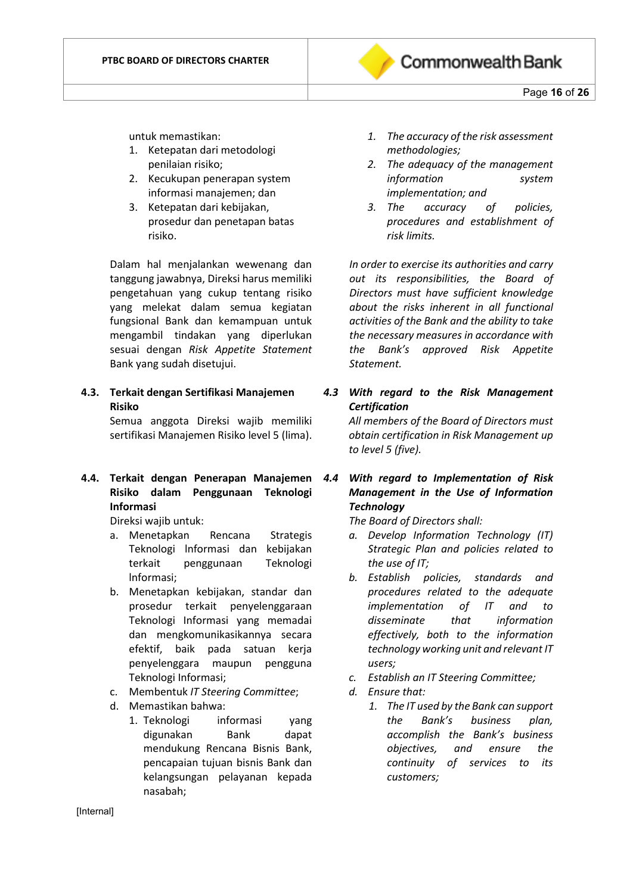

untuk memastikan:

- 1. Ketepatan dari metodologi penilaian risiko;
- 2. Kecukupan penerapan system informasi manajemen; dan
- 3. Ketepatan dari kebijakan, prosedur dan penetapan batas risiko.

Dalam hal menjalankan wewenang dan tanggung jawabnya, Direksi harus memiliki pengetahuan yang cukup tentang risiko yang melekat dalam semua kegiatan fungsional Bank dan kemampuan untuk mengambil tindakan yang diperlukan sesuai dengan *Risk Appetite Statement* Bank yang sudah disetujui.

**4.3. Terkait dengan Sertifikasi Manajemen Risiko**

Semua anggota Direksi wajib memiliki sertifikasi Manajemen Risiko level 5 (lima).

**4.4. Terkait dengan Penerapan Manajemen Risiko dalam Penggunaan Teknologi Informasi**

Direksi wajib untuk:

- a. Menetapkan Rencana Strategis Teknologi lnformasi dan kebijakan terkait penggunaan Teknologi lnformasi;
- b. Menetapkan kebijakan, standar dan prosedur terkait penyelenggaraan Teknologi Informasi yang memadai dan mengkomunikasikannya secara efektif, baik pada satuan kerja penyelenggara maupun pengguna Teknologi Informasi;
- c. Membentuk *IT Steering Committee*;
- d. Memastikan bahwa:
	- 1. Teknologi informasi yang digunakan Bank dapat mendukung Rencana Bisnis Bank, pencapaian tujuan bisnis Bank dan kelangsungan pelayanan kepada nasabah;
- *1. The accuracy of the risk assessment methodologies;*
- *2. The adequacy of the management information system implementation; and*
- *3. The accuracy of policies, procedures and establishment of risk limits.*

*In order to exercise its authorities and carry out its responsibilities, the Board of Directors must have sufficient knowledge about the risks inherent in all functional activities of the Bank and the ability to take the necessary measures in accordance with the Bank's approved Risk Appetite Statement.*

*4.3 With regard to the Risk Management Certification All members of the Board of Directors must* 

*obtain certification in Risk Management up to level 5 (five).*

*4.4 With regard to Implementation of Risk Management in the Use of Information Technology*

*The Board of Directors shall:* 

- *a. Develop Information Technology (IT) Strategic Plan and policies related to the use of IT;*
- *b. Establish policies, standards and procedures related to the adequate implementation of IT and to disseminate that information effectively, both to the information technology working unit and relevant IT users;*
- *c. Establish an IT Steering Committee;*
- *d. Ensure that:*
	- *1. The IT used by the Bank can support the Bank's business plan, accomplish the Bank's business objectives, and ensure the continuity of services to its customers;*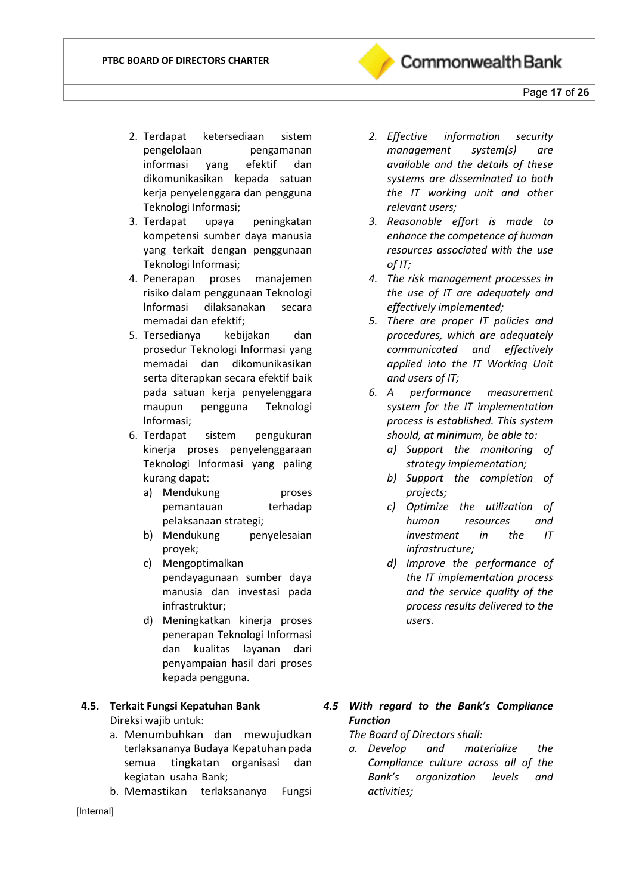

Page **17** of **26**

- 2. Terdapat ketersediaan sistem pengelolaan pengamanan informasi yang efektif dan dikomunikasikan kepada satuan kerja penyelenggara dan pengguna Teknologi Informasi;
- 3. Terdapat upaya peningkatan kompetensi sumber daya manusia yang terkait dengan penggunaan Teknologi lnformasi;
- 4. Penerapan proses manajemen risiko dalam penggunaan Teknologi lnformasi dilaksanakan secara memadai dan efektif;
- 5. Tersedianya kebijakan dan prosedur Teknologi lnformasi yang memadai dan dikomunikasikan serta diterapkan secara efektif baik pada satuan kerja penyelenggara maupun pengguna Teknologi lnformasi;
- 6. Terdapat sistem pengukuran kinerja proses penyelenggaraan Teknologi lnformasi yang paling kurang dapat:
	- a) Mendukung proses pemantauan terhadap pelaksanaan strategi;
	- b) Mendukung penyelesaian proyek;
	- c) Mengoptimalkan pendayagunaan sumber daya manusia dan investasi pada infrastruktur;
	- d) Meningkatkan kinerja proses penerapan Teknologi Informasi dan kualitas layanan dari penyampaian hasil dari proses kepada pengguna.

#### **4.5. Terkait Fungsi Kepatuhan Bank** Direksi wajib untuk:

- a. Menumbuhkan dan mewujudkan terlaksananya Budaya Kepatuhan pada semua tingkatan organisasi dan kegiatan usaha Bank;
- b. Memastikan terlaksananya Fungsi
- *2. Effective information security management system(s) are available and the details of these systems are disseminated to both the IT working unit and other relevant users;*
- *3. Reasonable effort is made to enhance the competence of human resources associated with the use of IT;*
- *4. The risk management processes in the use of IT are adequately and effectively implemented;*
- *5. There are proper IT policies and procedures, which are adequately communicated and effectively applied into the IT Working Unit and users of IT;*
- *6. A performance measurement system for the IT implementation process is established. This system should, at minimum, be able to:*
	- *a) Support the monitoring of strategy implementation;*
	- *b) Support the completion of projects;*
	- *c) Optimize the utilization of human resources and investment in the IT infrastructure;*
	- *d) Improve the performance of the IT implementation process and the service quality of the process results delivered to the users.*
- *4.5 With regard to the Bank's Compliance Function*

*The Board of Directors shall:* 

*a. Develop and materialize the Compliance culture across all of the Bank's organization levels and activities;*

[Internal]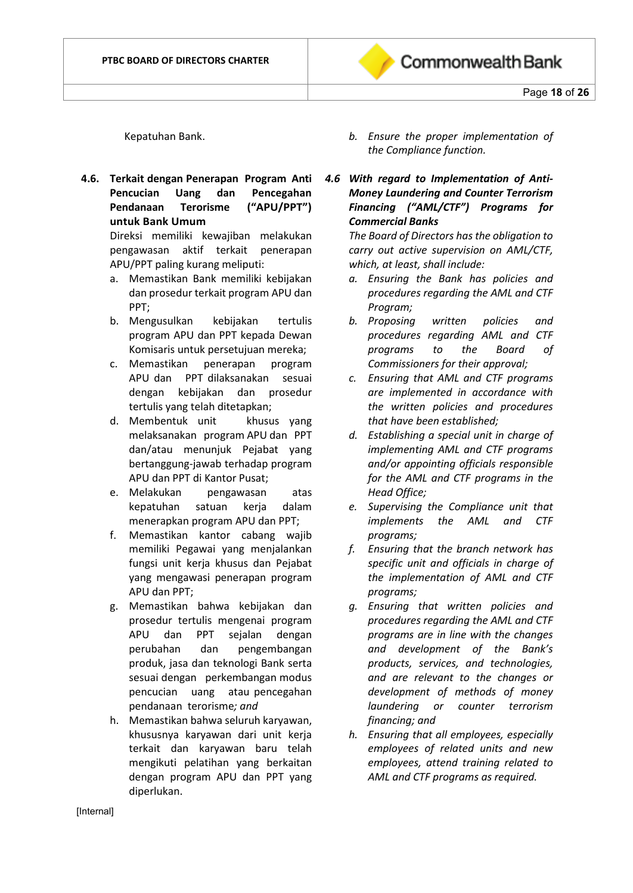

Kepatuhan Bank.

**4.6. Terkait dengan Penerapan Program Anti Pencucian Uang dan Pencegahan Pendanaan Terorisme ("APU/PPT") untuk Bank Umum**

Direksi memiliki kewajiban melakukan pengawasan aktif terkait penerapan APU/PPT paling kurang meliputi:

- a. Memastikan Bank memiliki kebijakan dan prosedur terkait program APU dan PPT;
- b. Mengusulkan kebijakan tertulis program APU dan PPT kepada Dewan Komisaris untuk persetujuan mereka;
- c. Memastikan penerapan program APU dan PPT dilaksanakan sesuai dengan kebijakan dan prosedur tertulis yang telah ditetapkan;
- d. Membentuk unit khusus yang melaksanakan program APU dan PPT dan/atau menunjuk Pejabat yang bertanggung-jawab terhadap program APU dan PPT di Kantor Pusat;
- e. Melakukan pengawasan atas kepatuhan satuan kerja dalam menerapkan program APU dan PPT;
- f. Memastikan kantor cabang wajib memiliki Pegawai yang menjalankan fungsi unit kerja khusus dan Pejabat yang mengawasi penerapan program APU dan PPT;
- g. Memastikan bahwa kebijakan dan prosedur tertulis mengenai program APU dan PPT sejalan dengan perubahan dan pengembangan produk, jasa dan teknologi Bank serta sesuai dengan perkembangan modus pencucian uang atau pencegahan pendanaan terorisme*; and*
- h. Memastikan bahwa seluruh karyawan, khususnya karyawan dari unit kerja terkait dan karyawan baru telah mengikuti pelatihan yang berkaitan dengan program APU dan PPT yang diperlukan.
- *b. Ensure the proper implementation of the Compliance function.*
- *4.6 With regard to Implementation of Anti-Money Laundering and Counter Terrorism Financing ("AML/CTF") Programs for Commercial Banks*

*The Board of Directors has the obligation to carry out active supervision on AML/CTF, which, at least, shall include:*

- *a. Ensuring the Bank has policies and procedures regarding the AML and CTF Program;*
- *b. Proposing written policies and procedures regarding AML and CTF programs to the Board of Commissioners for their approval;*
- *c. Ensuring that AML and CTF programs are implemented in accordance with the written policies and procedures that have been established;*
- *d. Establishing a special unit in charge of implementing AML and CTF programs and/or appointing officials responsible for the AML and CTF programs in the Head Office;*
- *e. Supervising the Compliance unit that implements the AML and CTF programs;*
- *f. Ensuring that the branch network has specific unit and officials in charge of the implementation of AML and CTF programs;*
- *g. Ensuring that written policies and procedures regarding the AML and CTF programs are in line with the changes and development of the Bank's products, services, and technologies, and are relevant to the changes or development of methods of money laundering or counter terrorism financing; and*
- *h. Ensuring that all employees, especially employees of related units and new employees, attend training related to AML and CTF programs as required.*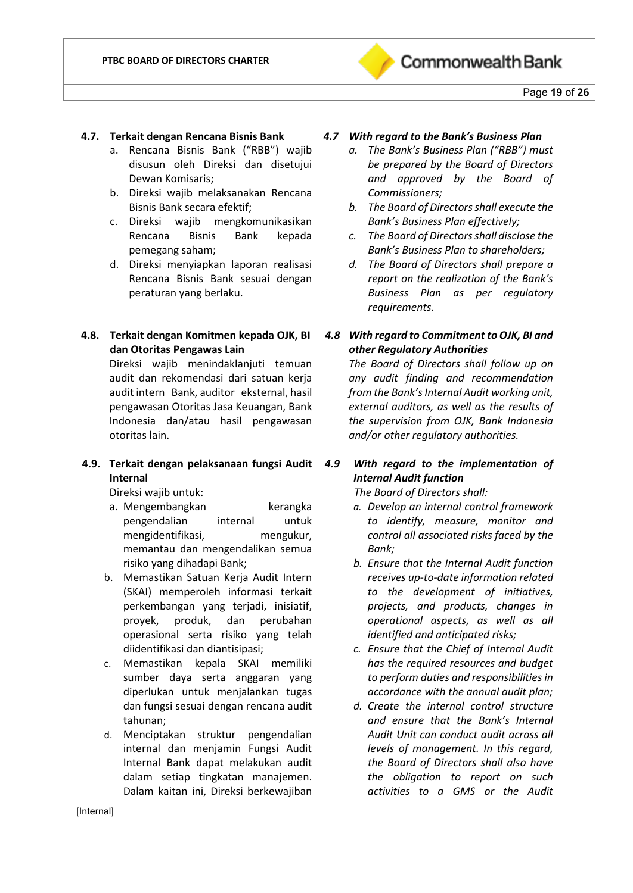

#### **4.7. Terkait dengan Rencana Bisnis Bank**

- a. Rencana Bisnis Bank ("RBB") wajib disusun oleh Direksi dan disetujui Dewan Komisaris;
- b. Direksi wajib melaksanakan Rencana Bisnis Bank secara efektif;
- c. Direksi wajib mengkomunikasikan Rencana Bisnis Bank kepada pemegang saham;
- d. Direksi menyiapkan laporan realisasi Rencana Bisnis Bank sesuai dengan peraturan yang berlaku.
- **4.8. Terkait dengan Komitmen kepada OJK, BI dan Otoritas Pengawas Lain**

Direksi wajib menindaklanjuti temuan audit dan rekomendasi dari satuan kerja audit intern Bank, auditor eksternal, hasil pengawasan Otoritas Jasa Keuangan, Bank Indonesia dan/atau hasil pengawasan otoritas lain.

#### **4.9. Terkait dengan pelaksanaan fungsi Audit Internal**

Direksi wajib untuk:

- a. Mengembangkan kerangka pengendalian internal untuk mengidentifikasi, mengukur, memantau dan mengendalikan semua risiko yang dihadapi Bank;
- b. Memastikan Satuan Kerja Audit Intern (SKAI) memperoleh informasi terkait perkembangan yang terjadi, inisiatif, proyek, produk, dan perubahan operasional serta risiko yang telah diidentifikasi dan diantisipasi;
- c. Memastikan kepala SKAI memiliki sumber daya serta anggaran yang diperlukan untuk menjalankan tugas dan fungsi sesuai dengan rencana audit tahunan;
- d. Menciptakan struktur pengendalian internal dan menjamin Fungsi Audit Internal Bank dapat melakukan audit dalam setiap tingkatan manajemen. Dalam kaitan ini, Direksi berkewajiban

#### *4.7 With regard to the Bank's Business Plan*

- *a. The Bank's Business Plan ("RBB") must be prepared by the Board of Directors and approved by the Board of Commissioners;*
- *b. The Board of Directors shall execute the Bank's Business Plan effectively;*
- *c. The Board of Directors shall disclose the Bank's Business Plan to shareholders;*
- *d. The Board of Directors shall prepare a report on the realization of the Bank's Business Plan as per regulatory requirements.*

# *4.8 With regard to Commitment to OJK, BI and other Regulatory Authorities*

*The Board of Directors shall follow up on any audit finding and recommendation from the Bank's Internal Audit working unit, external auditors, as well as the results of the supervision from OJK, Bank Indonesia and/or other regulatory authorities.*

*4.9 With regard to the implementation of Internal Audit function*

*The Board of Directors shall:* 

- *a. Develop an internal control framework to identify, measure, monitor and control all associated risks faced by the Bank;*
- *b. Ensure that the Internal Audit function receives up-to-date information related to the development of initiatives, projects, and products, changes in operational aspects, as well as all identified and anticipated risks;*
- *c. Ensure that the Chief of Internal Audit has the required resources and budget to perform duties and responsibilities in accordance with the annual audit plan;*
- *d. Create the internal control structure and ensure that the Bank's Internal Audit Unit can conduct audit across all levels of management. In this regard, the Board of Directors shall also have the obligation to report on such activities to a GMS or the Audit*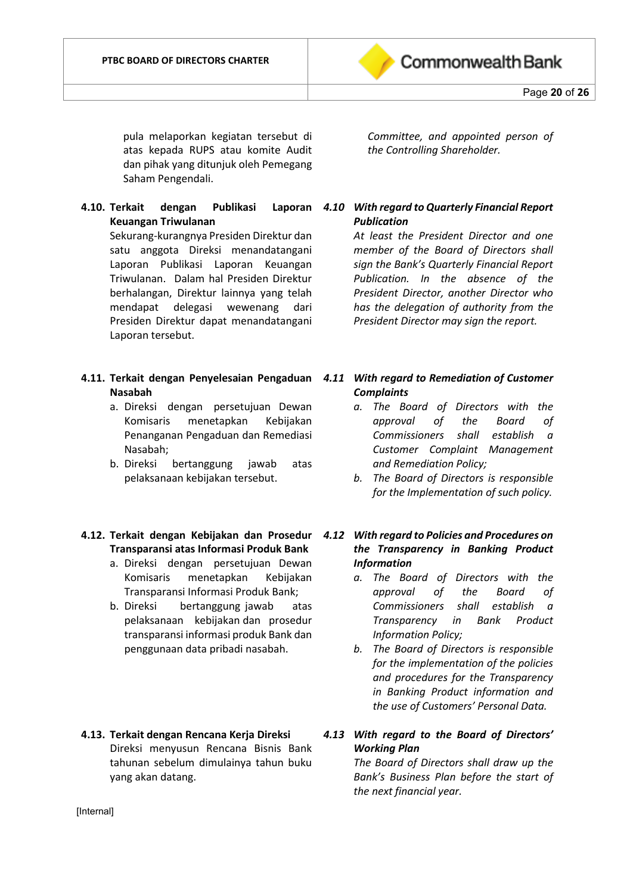

pula melaporkan kegiatan tersebut di atas kepada RUPS atau komite Audit dan pihak yang ditunjuk oleh Pemegang Saham Pengendali.

- **4.10. Terkait dengan Publikasi Laporan Keuangan Triwulanan** Sekurang-kurangnya Presiden Direktur dan satu anggota Direksi menandatangani Laporan Publikasi Laporan Keuangan Triwulanan. Dalam hal Presiden Direktur berhalangan, Direktur lainnya yang telah mendapat delegasi wewenang dari Presiden Direktur dapat menandatangani Laporan tersebut.
- **4.11. Terkait dengan Penyelesaian Pengaduan** *4.11 With regard to Remediation of Customer*  **Nasabah** 
	- a. Direksi dengan persetujuan Dewan Komisaris menetapkan Kebijakan Penanganan Pengaduan dan Remediasi Nasabah;
	- b. Direksi bertanggung jawab atas pelaksanaan kebijakan tersebut.

#### **4.12. Terkait dengan Kebijakan dan Prosedur**  *4.12 With regard to Policies and Procedures on*  **Transparansi atas Informasi Produk Bank**

- a. Direksi dengan persetujuan Dewan Komisaris menetapkan Kebijakan Transparansi Informasi Produk Bank;
- b. Direksi bertanggung jawab atas pelaksanaan kebijakan dan prosedur transparansi informasi produk Bank dan penggunaan data pribadi nasabah.
- **4.13. Terkait dengan Rencana Kerja Direksi** Direksi menyusun Rencana Bisnis Bank tahunan sebelum dimulainya tahun buku yang akan datang.

*Committee, and appointed person of the Controlling Shareholder.*

# *4.10 With regard to Quarterly Financial Report Publication*

*At least the President Director and one member of the Board of Directors shall sign the Bank's Quarterly Financial Report Publication. In the absence of the President Director, another Director who has the delegation of authority from the President Director may sign the report.*

# *Complaints*

- *a. The Board of Directors with the approval of the Board of Commissioners shall establish a Customer Complaint Management and Remediation Policy;*
- *b. The Board of Directors is responsible for the Implementation of such policy.*

# *the Transparency in Banking Product Information*

- *a. The Board of Directors with the approval of the Board of Commissioners shall establish a Transparency in Bank Product Information Policy;*
- *b. The Board of Directors is responsible for the implementation of the policies and procedures for the Transparency in Banking Product information and the use of Customers' Personal Data.*

# *4.13 With regard to the Board of Directors' Working Plan*

*The Board of Directors shall draw up the Bank's Business Plan before the start of the next financial year.*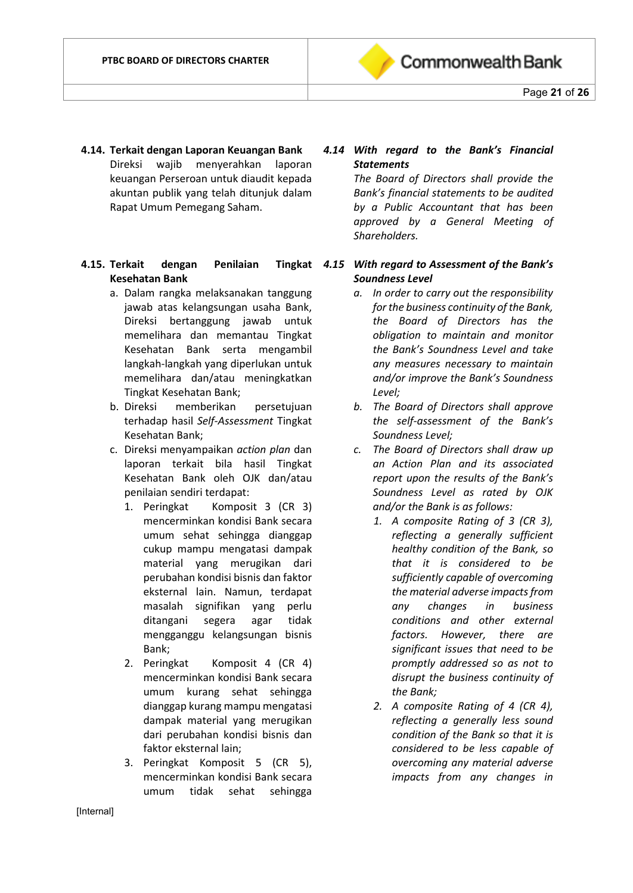

- **4.14. Terkait dengan Laporan Keuangan Bank** Direksi wajib menyerahkan laporan keuangan Perseroan untuk diaudit kepada akuntan publik yang telah ditunjuk dalam Rapat Umum Pemegang Saham.
- **4.15. Terkait dengan Penilaian Kesehatan Bank**
	- a. Dalam rangka melaksanakan tanggung jawab atas kelangsungan usaha Bank, Direksi bertanggung jawab untuk memelihara dan memantau Tingkat Kesehatan Bank serta mengambil langkah-langkah yang diperlukan untuk memelihara dan/atau meningkatkan Tingkat Kesehatan Bank;
	- b. Direksi memberikan persetujuan terhadap hasil *Self-Assessment* Tingkat Kesehatan Bank;
	- c. Direksi menyampaikan *action plan* dan laporan terkait bila hasil Tingkat Kesehatan Bank oleh OJK dan/atau penilaian sendiri terdapat:
		- 1. Peringkat Komposit 3 (CR 3) mencerminkan kondisi Bank secara umum sehat sehingga dianggap cukup mampu mengatasi dampak material yang merugikan dari perubahan kondisi bisnis dan faktor eksternal lain. Namun, terdapat masalah signifikan yang perlu ditangani segera agar tidak mengganggu kelangsungan bisnis Bank;
		- 2. Peringkat Komposit 4 (CR 4) mencerminkan kondisi Bank secara umum kurang sehat sehingga dianggap kurang mampu mengatasi dampak material yang merugikan dari perubahan kondisi bisnis dan faktor eksternal lain;
		- 3. Peringkat Komposit 5 (CR 5), mencerminkan kondisi Bank secara umum tidak sehat sehingga

# *4.14 With regard to the Bank's Financial Statements*

*The Board of Directors shall provide the Bank's financial statements to be audited by a Public Accountant that has been approved by a General Meeting of Shareholders.*

#### *4.15 With regard to Assessment of the Bank's Soundness Level*

- *a. In order to carry out the responsibility for the business continuity of the Bank, the Board of Directors has the obligation to maintain and monitor the Bank's Soundness Level and take any measures necessary to maintain and/or improve the Bank's Soundness Level;*
- *b. The Board of Directors shall approve the self-assessment of the Bank's Soundness Level;*
- *c. The Board of Directors shall draw up an Action Plan and its associated report upon the results of the Bank's Soundness Level as rated by OJK and/or the Bank is as follows:*
	- *1. A composite Rating of 3 (CR 3), reflecting a generally sufficient healthy condition of the Bank, so that it is considered to be sufficiently capable of overcoming the material adverse impacts from any changes in business conditions and other external factors. However, there are significant issues that need to be promptly addressed so as not to disrupt the business continuity of the Bank;*
	- *2. A composite Rating of 4 (CR 4), reflecting a generally less sound condition of the Bank so that it is considered to be less capable of overcoming any material adverse impacts from any changes in*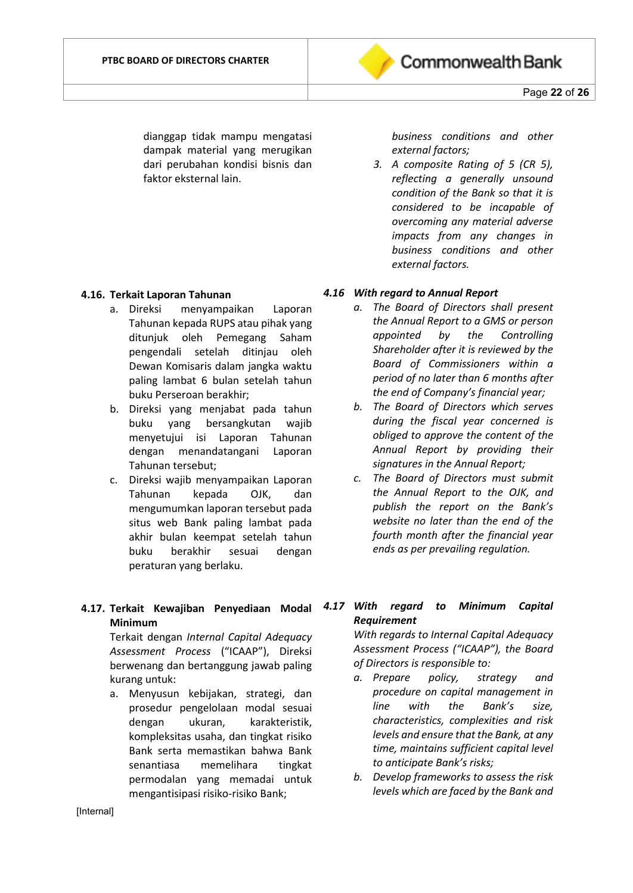

dianggap tidak mampu mengatasi dampak material yang merugikan dari perubahan kondisi bisnis dan faktor eksternal lain.

#### **4.16. Terkait Laporan Tahunan**

- a. Direksi menyampaikan Laporan Tahunan kepada RUPS atau pihak yang ditunjuk oleh Pemegang Saham pengendali setelah ditinjau oleh Dewan Komisaris dalam jangka waktu paling lambat 6 bulan setelah tahun buku Perseroan berakhir;
- b. Direksi yang menjabat pada tahun buku yang bersangkutan wajib menyetujui isi Laporan Tahunan dengan menandatangani Laporan Tahunan tersebut;
- c. Direksi wajib menyampaikan Laporan Tahunan kepada OJK, dan mengumumkan laporan tersebut pada situs web Bank paling lambat pada akhir bulan keempat setelah tahun buku berakhir sesuai dengan peraturan yang berlaku.

# **Minimum**

Terkait dengan *Internal Capital Adequacy Assessment Process* ("ICAAP"), Direksi berwenang dan bertanggung jawab paling kurang untuk:

a. Menyusun kebijakan, strategi, dan prosedur pengelolaan modal sesuai dengan ukuran, karakteristik, kompleksitas usaha, dan tingkat risiko Bank serta memastikan bahwa Bank senantiasa memelihara tingkat permodalan yang memadai untuk mengantisipasi risiko-risiko Bank;

*business conditions and other external factors;*

*3. A composite Rating of 5 (CR 5), reflecting a generally unsound condition of the Bank so that it is considered to be incapable of overcoming any material adverse impacts from any changes in business conditions and other external factors.*

#### *4.16 With regard to Annual Report*

- *a. The Board of Directors shall present the Annual Report to a GMS or person appointed by the Controlling Shareholder after it is reviewed by the Board of Commissioners within a period of no later than 6 months after the end of Company's financial year;*
- *b. The Board of Directors which serves during the fiscal year concerned is obliged to approve the content of the Annual Report by providing their signatures in the Annual Report;*
- *c. The Board of Directors must submit the Annual Report to the OJK, and publish the report on the Bank's website no later than the end of the fourth month after the financial year ends as per prevailing regulation.*
- **4.17. Terkait Kewajiban Penyediaan Modal**  *4.17 With regard to Minimum Capital Requirement*

*With regards to Internal Capital Adequacy Assessment Process ("ICAAP"), the Board of Directors is responsible to:*

- *a. Prepare policy, strategy and procedure on capital management in line with the Bank's size, characteristics, complexities and risk levels and ensure that the Bank, at any time, maintains sufficient capital level to anticipate Bank's risks;*
- *b. Develop frameworks to assess the risk levels which are faced by the Bank and*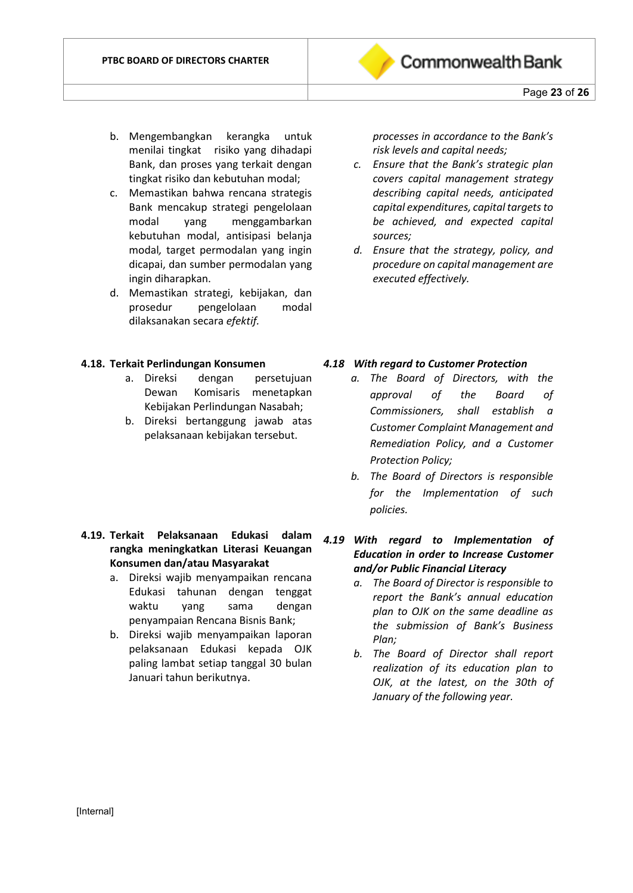

- b. Mengembangkan kerangka untuk menilai tingkat risiko yang dihadapi Bank, dan proses yang terkait dengan tingkat risiko dan kebutuhan modal;
- c. Memastikan bahwa rencana strategis Bank mencakup strategi pengelolaan modal yang menggambarkan kebutuhan modal, antisipasi belanja modal*,* target permodalan yang ingin dicapai, dan sumber permodalan yang ingin diharapkan.
- d. Memastikan strategi, kebijakan, dan prosedur pengelolaan modal dilaksanakan secara *efektif.*

#### **4.18. Terkait Perlindungan Konsumen**

- a. Direksi dengan persetujuan Dewan Komisaris menetapkan Kebijakan Perlindungan Nasabah;
- b. Direksi bertanggung jawab atas pelaksanaan kebijakan tersebut.

#### **4.19. Terkait Pelaksanaan Edukasi dalam rangka meningkatkan Literasi Keuangan Konsumen dan/atau Masyarakat**

- a. Direksi wajib menyampaikan rencana Edukasi tahunan dengan tenggat waktu yang sama dengan penyampaian Rencana Bisnis Bank;
- b. Direksi wajib menyampaikan laporan pelaksanaan Edukasi kepada OJK paling lambat setiap tanggal 30 bulan Januari tahun berikutnya.

*processes in accordance to the Bank's risk levels and capital needs;*

- *c. Ensure that the Bank's strategic plan covers capital management strategy describing capital needs, anticipated capital expenditures, capital targets to be achieved, and expected capital sources;*
- *d. Ensure that the strategy, policy, and procedure on capital management are executed effectively.*

#### *4.18 With regard to Customer Protection*

- *a. The Board of Directors, with the approval of the Board of Commissioners, shall establish a Customer Complaint Management and Remediation Policy, and a Customer Protection Policy;*
- *b. The Board of Directors is responsible for the Implementation of such policies.*
- *4.19 With regard to Implementation of Education in order to Increase Customer and/or Public Financial Literacy*
	- *a. The Board of Director is responsible to report the Bank's annual education plan to OJK on the same deadline as the submission of Bank's Business Plan;*
	- *b. The Board of Director shall report realization of its education plan to OJK, at the latest, on the 30th of January of the following year.*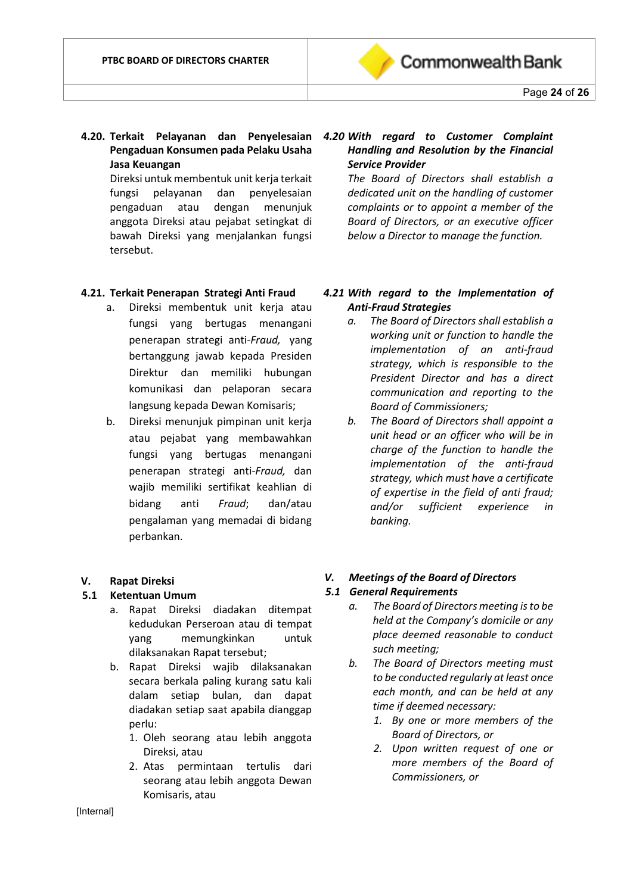

**4.20. Terkait Pelayanan dan Penyelesaian**  *4.20 With regard to Customer Complaint*  **Pengaduan Konsumen pada Pelaku Usaha Jasa Keuangan**

Direksi untuk membentuk unit kerja terkait fungsi pelayanan dan penyelesaian pengaduan atau dengan menunjuk anggota Direksi atau pejabat setingkat di bawah Direksi yang menjalankan fungsi tersebut.

#### **4.21. Terkait Penerapan Strategi Anti Fraud**

- a. Direksi membentuk unit kerja atau fungsi yang bertugas menangani penerapan strategi anti-*Fraud,* yang bertanggung jawab kepada Presiden Direktur dan memiliki hubungan komunikasi dan pelaporan secara langsung kepada Dewan Komisaris;
- b. Direksi menunjuk pimpinan unit kerja atau pejabat yang membawahkan fungsi yang bertugas menangani penerapan strategi anti-*Fraud,* dan wajib memiliki sertifikat keahlian di bidang anti *Fraud*; dan/atau pengalaman yang memadai di bidang perbankan.

#### **V. Rapat Direksi**

#### **5.1 Ketentuan Umum**

- a. Rapat Direksi diadakan ditempat kedudukan Perseroan atau di tempat yang memungkinkan untuk dilaksanakan Rapat tersebut;
- b. Rapat Direksi wajib dilaksanakan secara berkala paling kurang satu kali dalam setiap bulan, dan dapat diadakan setiap saat apabila dianggap perlu:
	- 1. Oleh seorang atau lebih anggota Direksi, atau
	- 2. Atas permintaan tertulis dari seorang atau lebih anggota Dewan Komisaris, atau

# *Handling and Resolution by the Financial Service Provider*

*The Board of Directors shall establish a dedicated unit on the handling of customer complaints or to appoint a member of the Board of Directors, or an executive officer below a Director to manage the function.*

#### *4.21 With regard to the Implementation of Anti-Fraud Strategies*

- *a. The Board of Directors shall establish a working unit or function to handle the implementation of an anti-fraud strategy, which is responsible to the President Director and has a direct communication and reporting to the Board of Commissioners;*
- *b. The Board of Directors shall appoint a unit head or an officer who will be in charge of the function to handle the implementation of the anti-fraud strategy, which must have a certificate of expertise in the field of anti fraud; and/or sufficient experience in banking.*

#### *V. Meetings of the Board of Directors*

#### *5.1 General Requirements*

- *a. The Board of Directors meeting is to be held at the Company's domicile or any place deemed reasonable to conduct such meeting;*
- *b. The Board of Directors meeting must to be conducted regularly at least once each month, and can be held at any time if deemed necessary:*
	- *1. By one or more members of the Board of Directors, or*
	- *2. Upon written request of one or more members of the Board of Commissioners, or*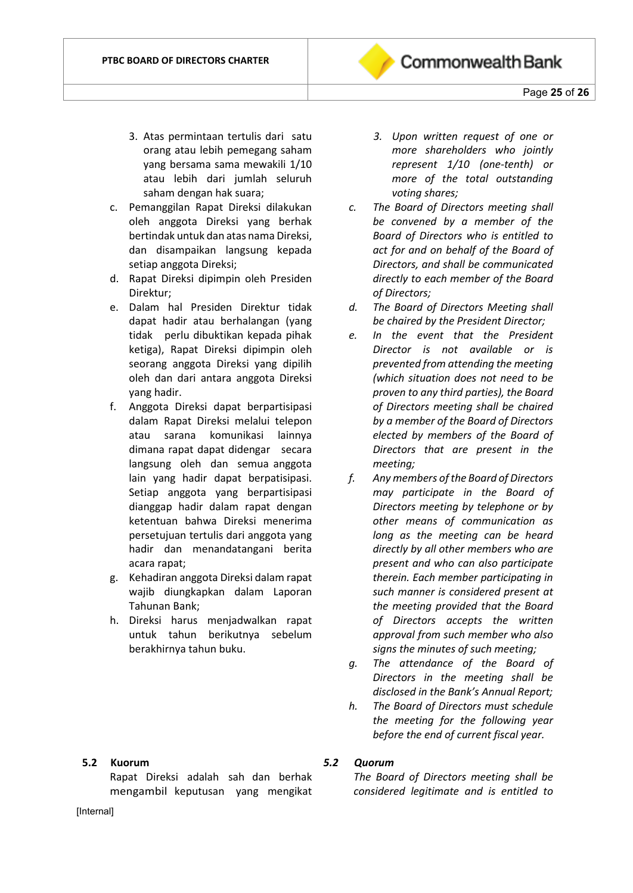

- c. Pemanggilan Rapat Direksi dilakukan oleh anggota Direksi yang berhak bertindak untuk dan atas nama Direksi, dan disampaikan langsung kepada setiap anggota Direksi;
- d. Rapat Direksi dipimpin oleh Presiden Direktur;
- e. Dalam hal Presiden Direktur tidak dapat hadir atau berhalangan (yang tidak perlu dibuktikan kepada pihak ketiga), Rapat Direksi dipimpin oleh seorang anggota Direksi yang dipilih oleh dan dari antara anggota Direksi yang hadir.
- f. Anggota Direksi dapat berpartisipasi dalam Rapat Direksi melalui telepon atau sarana komunikasi lainnya dimana rapat dapat didengar secara langsung oleh dan semua anggota lain yang hadir dapat berpatisipasi. Setiap anggota yang berpartisipasi dianggap hadir dalam rapat dengan ketentuan bahwa Direksi menerima persetujuan tertulis dari anggota yang hadir dan menandatangani berita acara rapat;
- g. Kehadiran anggota Direksi dalam rapat wajib diungkapkan dalam Laporan Tahunan Bank;
- h. Direksi harus menjadwalkan rapat untuk tahun berikutnya sebelum berakhirnya tahun buku.

**5.2 Kuorum**

Rapat Direksi adalah sah dan berhak mengambil keputusan yang mengikat

- *3. Upon written request of one or more shareholders who jointly represent 1/10 (one-tenth) or more of the total outstanding voting shares;*
- *c. The Board of Directors meeting shall be convened by a member of the Board of Directors who is entitled to act for and on behalf of the Board of Directors, and shall be communicated directly to each member of the Board of Directors;*
- *d. The Board of Directors Meeting shall be chaired by the President Director;*
- *e. In the event that the President Director is not available or is prevented from attending the meeting (which situation does not need to be proven to any third parties), the Board of Directors meeting shall be chaired by a member of the Board of Directors elected by members of the Board of Directors that are present in the meeting;*
- *f. Any members of the Board of Directors may participate in the Board of Directors meeting by telephone or by other means of communication as long as the meeting can be heard directly by all other members who are present and who can also participate therein. Each member participating in such manner is considered present at the meeting provided that the Board of Directors accepts the written approval from such member who also signs the minutes of such meeting;*
- *g. The attendance of the Board of Directors in the meeting shall be disclosed in the Bank's Annual Report;*
- *h. The Board of Directors must schedule the meeting for the following year before the end of current fiscal year.*
- *5.2 Quorum*

*The Board of Directors meeting shall be considered legitimate and is entitled to* 

[Internal]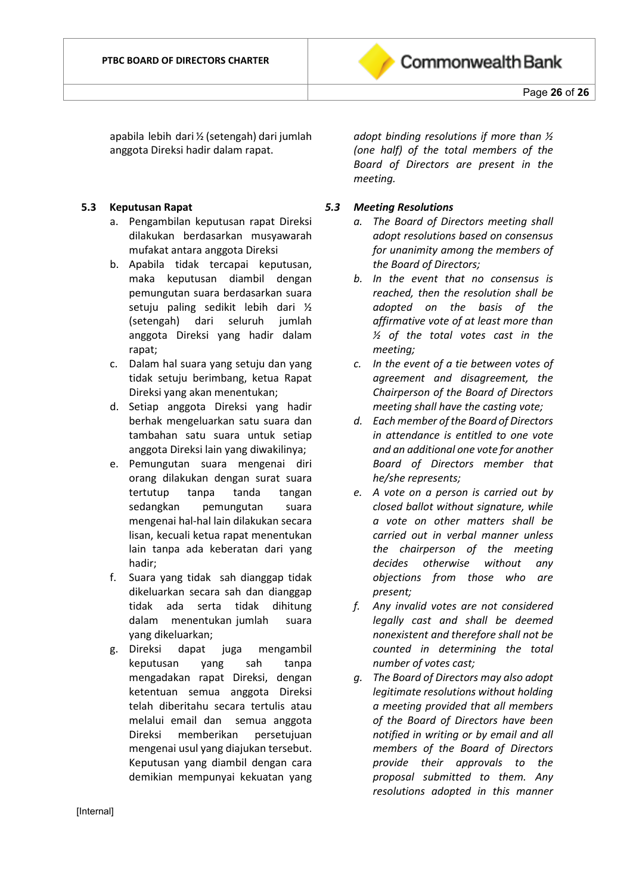

apabila lebih dari ½ (setengah) dari jumlah anggota Direksi hadir dalam rapat.

#### **5.3 Keputusan Rapat**

- a. Pengambilan keputusan rapat Direksi dilakukan berdasarkan musyawarah mufakat antara anggota Direksi
- b. Apabila tidak tercapai keputusan, maka keputusan diambil dengan pemungutan suara berdasarkan suara setuju paling sedikit lebih dari ½ (setengah) dari seluruh jumlah anggota Direksi yang hadir dalam rapat;
- c. Dalam hal suara yang setuju dan yang tidak setuju berimbang, ketua Rapat Direksi yang akan menentukan;
- d. Setiap anggota Direksi yang hadir berhak mengeluarkan satu suara dan tambahan satu suara untuk setiap anggota Direksi lain yang diwakilinya;
- e. Pemungutan suara mengenai diri orang dilakukan dengan surat suara tertutup tanpa tanda tangan sedangkan pemungutan suara mengenai hal-hal lain dilakukan secara lisan, kecuali ketua rapat menentukan lain tanpa ada keberatan dari yang hadir;
- f. Suara yang tidak sah dianggap tidak dikeluarkan secara sah dan dianggap tidak ada serta tidak dihitung dalam menentukan jumlah suara yang dikeluarkan;
- g. Direksi dapat juga mengambil keputusan yang sah tanpa mengadakan rapat Direksi, dengan ketentuan semua anggota Direksi telah diberitahu secara tertulis atau melalui email dan semua anggota Direksi memberikan persetujuan mengenai usul yang diajukan tersebut. Keputusan yang diambil dengan cara demikian mempunyai kekuatan yang

*adopt binding resolutions if more than ½ (one half) of the total members of the Board of Directors are present in the meeting.*

#### *5.3 Meeting Resolutions*

- *a. The Board of Directors meeting shall adopt resolutions based on consensus for unanimity among the members of the Board of Directors;*
- *b. In the event that no consensus is reached, then the resolution shall be adopted on the basis of the affirmative vote of at least more than ½ of the total votes cast in the meeting;*
- *c. In the event of a tie between votes of agreement and disagreement, the Chairperson of the Board of Directors meeting shall have the casting vote;*
- *d. Each member of the Board of Directors in attendance is entitled to one vote and an additional one vote for another Board of Directors member that he/she represents;*
- *e. A vote on a person is carried out by closed ballot without signature, while a vote on other matters shall be carried out in verbal manner unless the chairperson of the meeting decides otherwise without any objections from those who are present;*
- *f. Any invalid votes are not considered legally cast and shall be deemed nonexistent and therefore shall not be counted in determining the total number of votes cast;*
- *g. The Board of Directors may also adopt legitimate resolutions without holding a meeting provided that all members of the Board of Directors have been notified in writing or by email and all members of the Board of Directors provide their approvals to the proposal submitted to them. Any resolutions adopted in this manner*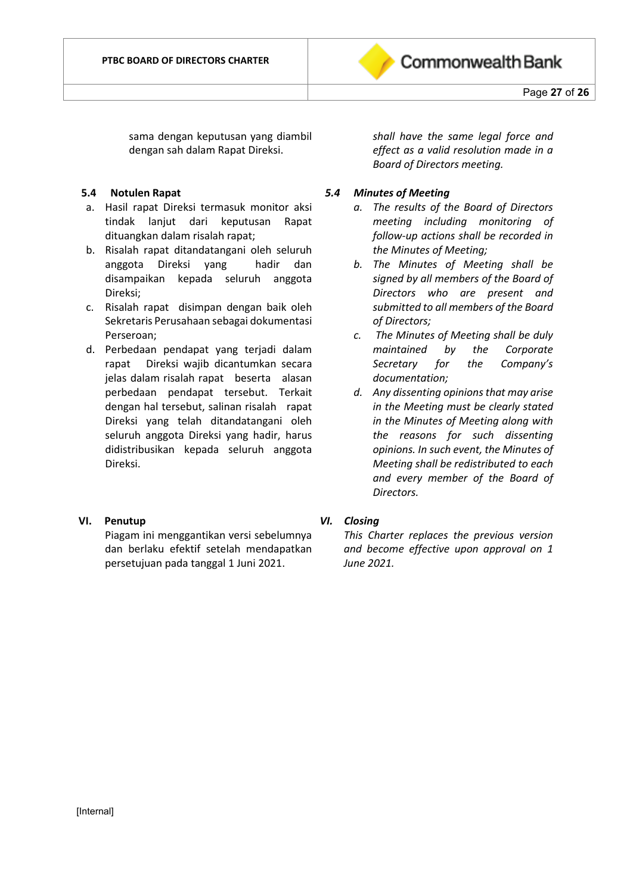

sama dengan keputusan yang diambil dengan sah dalam Rapat Direksi.

#### **5.4 Notulen Rapat**

- a. Hasil rapat Direksi termasuk monitor aksi tindak lanjut dari keputusan Rapat dituangkan dalam risalah rapat;
- b. Risalah rapat ditandatangani oleh seluruh anggota Direksi yang hadir dan disampaikan kepada seluruh anggota Direksi;
- c. Risalah rapat disimpan dengan baik oleh Sekretaris Perusahaan sebagai dokumentasi Perseroan;
- d. Perbedaan pendapat yang terjadi dalam rapat Direksi wajib dicantumkan secara jelas dalam risalah rapat beserta alasan perbedaan pendapat tersebut. Terkait dengan hal tersebut, salinan risalah rapat Direksi yang telah ditandatangani oleh seluruh anggota Direksi yang hadir, harus didistribusikan kepada seluruh anggota Direksi.

# **VI. Penutup**

Piagam ini menggantikan versi sebelumnya dan berlaku efektif setelah mendapatkan persetujuan pada tanggal 1 Juni 2021.

*shall have the same legal force and effect as a valid resolution made in a Board of Directors meeting.*

#### *5.4 Minutes of Meeting*

- *a. The results of the Board of Directors meeting including monitoring of follow-up actions shall be recorded in the Minutes of Meeting;*
- *b. The Minutes of Meeting shall be signed by all members of the Board of Directors who are present and submitted to all members of the Board of Directors;*
- *c. The Minutes of Meeting shall be duly maintained by the Corporate Secretary for the Company's documentation;*
- *d. Any dissenting opinions that may arise in the Meeting must be clearly stated in the Minutes of Meeting along with the reasons for such dissenting opinions. In such event, the Minutes of Meeting shall be redistributed to each and every member of the Board of Directors.*

# *VI. Closing*

*This Charter replaces the previous version and become effective upon approval on 1 June 2021.*